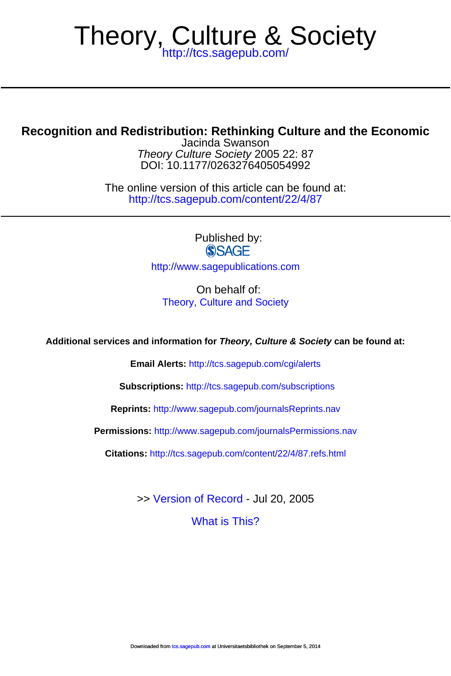## <http://tcs.sagepub.com/> Theory, Culture & Society

### **Recognition and Redistribution: Rethinking Culture and the Economic**

DOI: 10.1177/0263276405054992 Theory Culture Society 2005 22: 87 Jacinda Swanson

<http://tcs.sagepub.com/content/22/4/87> The online version of this article can be found at:

> Published by:<br>
> SAGE <http://www.sagepublications.com>

On behalf of: [Theory, Culture and Society](http://theoryculturesociety.org/)

**Additional services and information for Theory, Culture & Society can be found at:**

**Email Alerts:** <http://tcs.sagepub.com/cgi/alerts>

**Subscriptions:** <http://tcs.sagepub.com/subscriptions>

**Reprints:** <http://www.sagepub.com/journalsReprints.nav>

**Permissions:** <http://www.sagepub.com/journalsPermissions.nav>

**Citations:** <http://tcs.sagepub.com/content/22/4/87.refs.html>

>> [Version of Record -](http://tcs.sagepub.com/content/22/4/87.full.pdf) Jul 20, 2005

[What is This?](http://online.sagepub.com/site/sphelp/vorhelp.xhtml)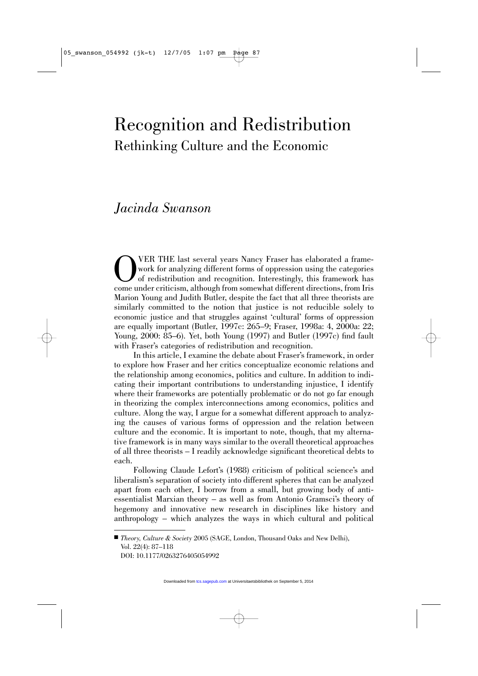# Recognition and Redistribution Rethinking Culture and the Economic

## *Jacinda Swanson*

**COVER THE last several years Nancy Fraser has elaborated a frame-**<br>work for analyzing different forms of oppression using the categories<br>of redistribution and recognition. Interestingly, this framework has<br>come under crit work for analyzing different forms of oppression using the categories of redistribution and recognition. Interestingly, this framework has come under criticism, although from somewhat different directions, from Iris Marion Young and Judith Butler, despite the fact that all three theorists are similarly committed to the notion that justice is not reducible solely to economic justice and that struggles against 'cultural' forms of oppression are equally important (Butler, 1997c: 265–9; Fraser, 1998a: 4, 2000a: 22; Young, 2000: 85–6). Yet, both Young (1997) and Butler (1997c) find fault with Fraser's categories of redistribution and recognition.

In this article, I examine the debate about Fraser's framework, in order to explore how Fraser and her critics conceptualize economic relations and the relationship among economics, politics and culture. In addition to indicating their important contributions to understanding injustice, I identify where their frameworks are potentially problematic or do not go far enough in theorizing the complex interconnections among economics, politics and culture. Along the way, I argue for a somewhat different approach to analyzing the causes of various forms of oppression and the relation between culture and the economic. It is important to note, though, that my alternative framework is in many ways similar to the overall theoretical approaches of all three theorists – I readily acknowledge significant theoretical debts to each.

Following Claude Lefort's (1988) criticism of political science's and liberalism's separation of society into different spheres that can be analyzed apart from each other, I borrow from a small, but growing body of antiessentialist Marxian theory – as well as from Antonio Gramsci's theory of hegemony and innovative new research in disciplines like history and anthropology – which analyzes the ways in which cultural and political

<sup>■</sup> *Theory, Culture & Society* 2005 (SAGE, London, Thousand Oaks and New Delhi), Vol. 22(4): 87–118 DOI: 10.1177/0263276405054992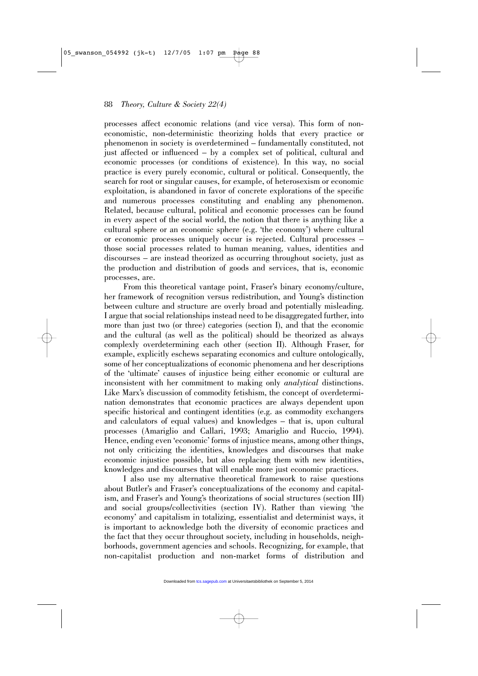processes affect economic relations (and vice versa). This form of noneconomistic, non-deterministic theorizing holds that every practice or phenomenon in society is overdetermined – fundamentally constituted, not just affected or influenced – by a complex set of political, cultural and economic processes (or conditions of existence). In this way, no social practice is every purely economic, cultural or political. Consequently, the search for root or singular causes, for example, of heterosexism or economic exploitation, is abandoned in favor of concrete explorations of the specific and numerous processes constituting and enabling any phenomenon. Related, because cultural, political and economic processes can be found in every aspect of the social world, the notion that there is anything like a cultural sphere or an economic sphere (e.g. 'the economy') where cultural or economic processes uniquely occur is rejected. Cultural processes – those social processes related to human meaning, values, identities and discourses – are instead theorized as occurring throughout society, just as the production and distribution of goods and services, that is, economic processes, are.

From this theoretical vantage point, Fraser's binary economy/culture, her framework of recognition versus redistribution, and Young's distinction between culture and structure are overly broad and potentially misleading. I argue that social relationships instead need to be disaggregated further, into more than just two (or three) categories (section I), and that the economic and the cultural (as well as the political) should be theorized as always complexly overdetermining each other (section II). Although Fraser, for example, explicitly eschews separating economics and culture ontologically, some of her conceptualizations of economic phenomena and her descriptions of the 'ultimate' causes of injustice being either economic or cultural are inconsistent with her commitment to making only *analytical* distinctions. Like Marx's discussion of commodity fetishism, the concept of overdetermination demonstrates that economic practices are always dependent upon specific historical and contingent identities (e.g. as commodity exchangers and calculators of equal values) and knowledges – that is, upon cultural processes (Amariglio and Callari, 1993; Amariglio and Ruccio, 1994). Hence, ending even 'economic' forms of injustice means, among other things, not only criticizing the identities, knowledges and discourses that make economic injustice possible, but also replacing them with new identities, knowledges and discourses that will enable more just economic practices.

I also use my alternative theoretical framework to raise questions about Butler's and Fraser's conceptualizations of the economy and capitalism, and Fraser's and Young's theorizations of social structures (section III) and social groups/collectivities (section IV). Rather than viewing 'the economy' and capitalism in totalizing, essentialist and determinist ways, it is important to acknowledge both the diversity of economic practices and the fact that they occur throughout society, including in households, neighborhoods, government agencies and schools. Recognizing, for example, that non-capitalist production and non-market forms of distribution and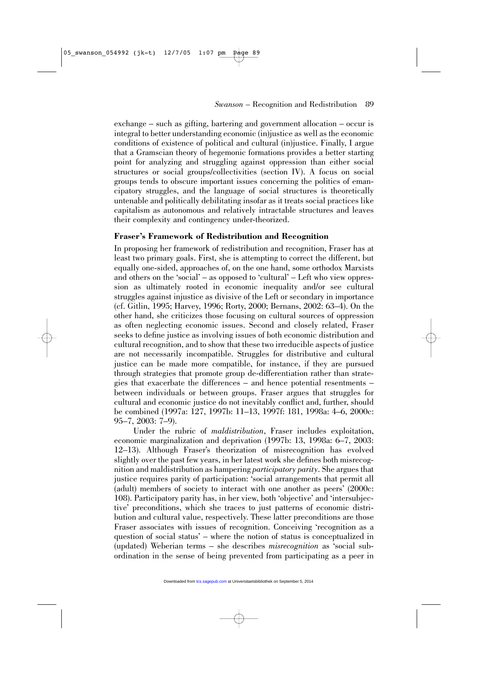exchange – such as gifting, bartering and government allocation – occur is integral to better understanding economic (in)justice as well as the economic conditions of existence of political and cultural (in)justice. Finally, I argue that a Gramscian theory of hegemonic formations provides a better starting point for analyzing and struggling against oppression than either social structures or social groups/collectivities (section IV). A focus on social groups tends to obscure important issues concerning the politics of emancipatory struggles, and the language of social structures is theoretically untenable and politically debilitating insofar as it treats social practices like capitalism as autonomous and relatively intractable structures and leaves their complexity and contingency under-theorized.

#### **Fraser's Framework of Redistribution and Recognition**

In proposing her framework of redistribution and recognition, Fraser has at least two primary goals. First, she is attempting to correct the different, but equally one-sided, approaches of, on the one hand, some orthodox Marxists and others on the 'social' – as opposed to 'cultural' – Left who view oppression as ultimately rooted in economic inequality and/or see cultural struggles against injustice as divisive of the Left or secondary in importance (cf. Gitlin, 1995; Harvey, 1996; Rorty, 2000; Bernans, 2002: 63–4). On the other hand, she criticizes those focusing on cultural sources of oppression as often neglecting economic issues. Second and closely related, Fraser seeks to define justice as involving issues of both economic distribution and cultural recognition, and to show that these two irreducible aspects of justice are not necessarily incompatible. Struggles for distributive and cultural justice can be made more compatible, for instance, if they are pursued through strategies that promote group de-differentiation rather than strategies that exacerbate the differences – and hence potential resentments – between individuals or between groups. Fraser argues that struggles for cultural and economic justice do not inevitably conflict and, further, should be combined (1997a: 127, 1997b: 11–13, 1997f: 181, 1998a: 4–6, 2000c: 95–7, 2003: 7–9).

Under the rubric of *maldistribution*, Fraser includes exploitation, economic marginalization and deprivation (1997b: 13, 1998a: 6–7, 2003: 12–13). Although Fraser's theorization of misrecognition has evolved slightly over the past few years, in her latest work she defines both misrecognition and maldistribution as hampering *participatory parity*. She argues that justice requires parity of participation: 'social arrangements that permit all (adult) members of society to interact with one another as peers' (2000c: 108). Participatory parity has, in her view, both 'objective' and 'intersubjective' preconditions, which she traces to just patterns of economic distribution and cultural value, respectively. These latter preconditions are those Fraser associates with issues of recognition. Conceiving 'recognition as a question of social status' – where the notion of status is conceptualized in (updated) Weberian terms – she describes *misrecognition* as 'social subordination in the sense of being prevented from participating as a peer in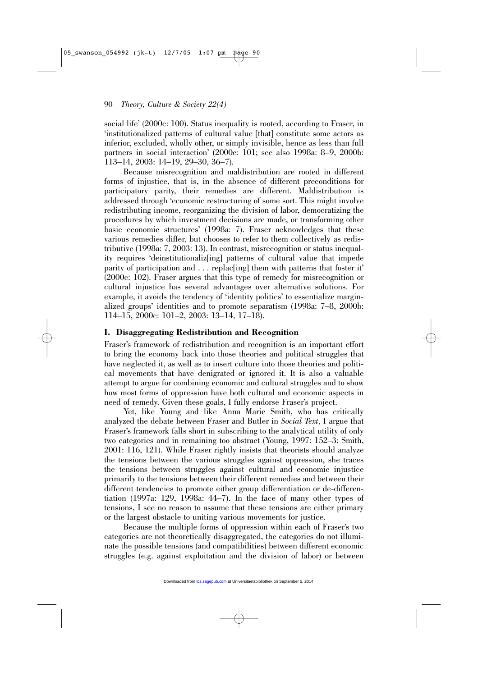social life' (2000c: 100). Status inequality is rooted, according to Fraser, in 'institutionalized patterns of cultural value [that] constitute some actors as inferior, excluded, wholly other, or simply invisible, hence as less than full partners in social interaction' (2000c: 101; see also 1998a: 8–9, 2000b: 113–14, 2003: 14–19, 29–30, 36–7).

Because misrecognition and maldistribution are rooted in different forms of injustice, that is, in the absence of different preconditions for participatory parity, their remedies are different. Maldistribution is addressed through 'economic restructuring of some sort. This might involve redistributing income, reorganizing the division of labor, democratizing the procedures by which investment decisions are made, or transforming other basic economic structures' (1998a: 7). Fraser acknowledges that these various remedies differ, but chooses to refer to them collectively as redistributive (1998a: 7, 2003: 13). In contrast, misrecognition or status inequality requires 'deinstitutionaliz[ing] patterns of cultural value that impede parity of participation and . . . replac[ing] them with patterns that foster it' (2000c: 102). Fraser argues that this type of remedy for misrecognition or cultural injustice has several advantages over alternative solutions. For example, it avoids the tendency of 'identity politics' to essentialize marginalized groups' identities and to promote separatism (1998a: 7–8, 2000b: 114–15, 2000c: 101–2, 2003: 13–14, 17–18).

#### **I. Disaggregating Redistribution and Recognition**

Fraser's framework of redistribution and recognition is an important effort to bring the economy back into those theories and political struggles that have neglected it, as well as to insert culture into those theories and political movements that have denigrated or ignored it. It is also a valuable attempt to argue for combining economic and cultural struggles and to show how most forms of oppression have both cultural and economic aspects in need of remedy. Given these goals, I fully endorse Fraser's project.

Yet, like Young and like Anna Marie Smith, who has critically analyzed the debate between Fraser and Butler in *Social Text*, I argue that Fraser's framework falls short in subscribing to the analytical utility of only two categories and in remaining too abstract (Young, 1997: 152–3; Smith, 2001: 116, 121). While Fraser rightly insists that theorists should analyze the tensions between the various struggles against oppression, she traces the tensions between struggles against cultural and economic injustice primarily to the tensions between their different remedies and between their different tendencies to promote either group differentiation or de-differentiation (1997a: 129, 1998a: 44–7). In the face of many other types of tensions, I see no reason to assume that these tensions are either primary or the largest obstacle to uniting various movements for justice.

Because the multiple forms of oppression within each of Fraser's two categories are not theoretically disaggregated, the categories do not illuminate the possible tensions (and compatibilities) between different economic struggles (e.g. against exploitation and the division of labor) or between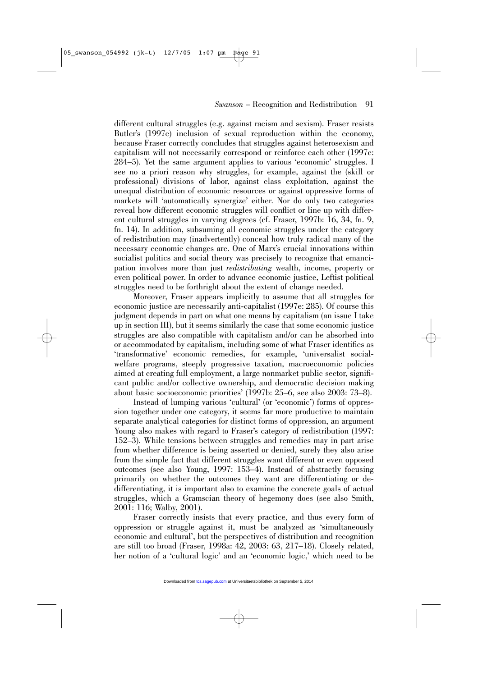different cultural struggles (e.g. against racism and sexism). Fraser resists Butler's (1997c) inclusion of sexual reproduction within the economy, because Fraser correctly concludes that struggles against heterosexism and capitalism will not necessarily correspond or reinforce each other (1997e: 284–5). Yet the same argument applies to various 'economic' struggles. I see no a priori reason why struggles, for example, against the (skill or professional) divisions of labor, against class exploitation, against the unequal distribution of economic resources or against oppressive forms of markets will 'automatically synergize' either. Nor do only two categories reveal how different economic struggles will conflict or line up with different cultural struggles in varying degrees (cf. Fraser, 1997b: 16, 34, fn. 9, fn. 14). In addition, subsuming all economic struggles under the category of redistribution may (inadvertently) conceal how truly radical many of the necessary economic changes are. One of Marx's crucial innovations within socialist politics and social theory was precisely to recognize that emancipation involves more than just *redistributing* wealth, income, property or even political power. In order to advance economic justice, Leftist political struggles need to be forthright about the extent of change needed.

Moreover, Fraser appears implicitly to assume that all struggles for economic justice are necessarily anti-capitalist (1997e: 285). Of course this judgment depends in part on what one means by capitalism (an issue I take up in section III), but it seems similarly the case that some economic justice struggles are also compatible with capitalism and/or can be absorbed into or accommodated by capitalism, including some of what Fraser identifies as 'transformative' economic remedies, for example, 'universalist socialwelfare programs, steeply progressive taxation, macroeconomic policies aimed at creating full employment, a large nonmarket public sector, significant public and/or collective ownership, and democratic decision making about basic socioeconomic priorities' (1997b: 25–6, see also 2003: 73–8).

Instead of lumping various 'cultural' (or 'economic') forms of oppression together under one category, it seems far more productive to maintain separate analytical categories for distinct forms of oppression, an argument Young also makes with regard to Fraser's category of redistribution (1997: 152–3). While tensions between struggles and remedies may in part arise from whether difference is being asserted or denied, surely they also arise from the simple fact that different struggles want different or even opposed outcomes (see also Young, 1997: 153–4). Instead of abstractly focusing primarily on whether the outcomes they want are differentiating or dedifferentiating, it is important also to examine the concrete goals of actual struggles, which a Gramscian theory of hegemony does (see also Smith, 2001: 116; Walby, 2001).

Fraser correctly insists that every practice, and thus every form of oppression or struggle against it, must be analyzed as 'simultaneously economic and cultural', but the perspectives of distribution and recognition are still too broad (Fraser, 1998a: 42, 2003: 63, 217–18). Closely related, her notion of a 'cultural logic' and an 'economic logic,' which need to be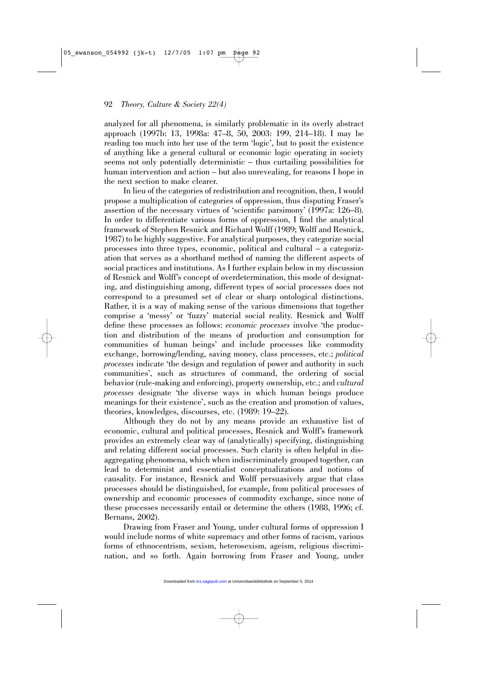analyzed for all phenomena, is similarly problematic in its overly abstract approach (1997b: 13, 1998a: 47–8, 50, 2003: 199, 214–18). I may be reading too much into her use of the term 'logic', but to posit the existence of anything like a general cultural or economic logic operating in society seems not only potentially deterministic – thus curtailing possibilities for human intervention and action – but also unrevealing, for reasons I hope in the next section to make clearer.

In lieu of the categories of redistribution and recognition, then, I would propose a multiplication of categories of oppression, thus disputing Fraser's assertion of the necessary virtues of 'scientific parsimony' (1997a: 126–8). In order to differentiate various forms of oppression, I find the analytical framework of Stephen Resnick and Richard Wolff (1989; Wolff and Resnick, 1987) to be highly suggestive. For analytical purposes, they categorize social processes into three types, economic, political and cultural – a categorization that serves as a shorthand method of naming the different aspects of social practices and institutions. As I further explain below in my discussion of Resnick and Wolff's concept of overdetermination, this mode of designating, and distinguishing among, different types of social processes does not correspond to a presumed set of clear or sharp ontological distinctions. Rather, it is a way of making sense of the various dimensions that together comprise a 'messy' or 'fuzzy' material social reality. Resnick and Wolff define these processes as follows: *economic processes* involve 'the production and distribution of the means of production and consumption for communities of human beings' and include processes like commodity exchange, borrowing/lending, saving money, class processes, etc.; *political processes* indicate 'the design and regulation of power and authority in such communities', such as structures of command, the ordering of social behavior (rule-making and enforcing), property ownership, etc.; and *cultural processes* designate 'the diverse ways in which human beings produce meanings for their existence', such as the creation and promotion of values, theories, knowledges, discourses, etc. (1989: 19–22).

Although they do not by any means provide an exhaustive list of economic, cultural and political processes, Resnick and Wolff's framework provides an extremely clear way of (analytically) specifying, distinguishing and relating different social processes. Such clarity is often helpful in disaggregating phenomena, which when indiscriminately grouped together, can lead to determinist and essentialist conceptualizations and notions of causality. For instance, Resnick and Wolff persuasively argue that class processes should be distinguished, for example, from political processes of ownership and economic processes of commodity exchange, since none of these processes necessarily entail or determine the others (1988, 1996; cf. Bernans, 2002).

Drawing from Fraser and Young, under cultural forms of oppression I would include norms of white supremacy and other forms of racism, various forms of ethnocentrism, sexism, heterosexism, ageism, religious discrimination, and so forth. Again borrowing from Fraser and Young, under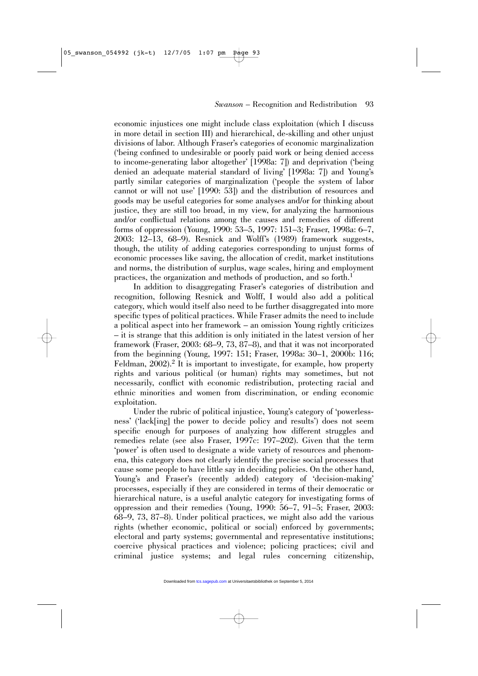economic injustices one might include class exploitation (which I discuss in more detail in section III) and hierarchical, de-skilling and other unjust divisions of labor. Although Fraser's categories of economic marginalization ('being confined to undesirable or poorly paid work or being denied access to income-generating labor altogether' [1998a: 7]) and deprivation ('being denied an adequate material standard of living' [1998a: 7]) and Young's partly similar categories of marginalization ('people the system of labor cannot or will not use' [1990: 53]) and the distribution of resources and goods may be useful categories for some analyses and/or for thinking about justice, they are still too broad, in my view, for analyzing the harmonious and/or conflictual relations among the causes and remedies of different forms of oppression (Young, 1990: 53–5, 1997: 151–3; Fraser, 1998a: 6–7, 2003: 12–13, 68–9). Resnick and Wolff's (1989) framework suggests, though, the utility of adding categories corresponding to unjust forms of economic processes like saving, the allocation of credit, market institutions and norms, the distribution of surplus, wage scales, hiring and employment practices, the organization and methods of production, and so forth.<sup>1</sup>

In addition to disaggregating Fraser's categories of distribution and recognition, following Resnick and Wolff, I would also add a political category, which would itself also need to be further disaggregated into more specific types of political practices. While Fraser admits the need to include a political aspect into her framework – an omission Young rightly criticizes – it is strange that this addition is only initiated in the latest version of her framework (Fraser, 2003: 68–9, 73, 87–8), and that it was not incorporated from the beginning (Young, 1997: 151; Fraser, 1998a: 30–1, 2000b: 116; Feldman,  $2002$ ).<sup>2</sup> It is important to investigate, for example, how property rights and various political (or human) rights may sometimes, but not necessarily, conflict with economic redistribution, protecting racial and ethnic minorities and women from discrimination, or ending economic exploitation.

Under the rubric of political injustice, Young's category of 'powerlessness' ('lack[ing] the power to decide policy and results') does not seem specific enough for purposes of analyzing how different struggles and remedies relate (see also Fraser, 1997c: 197–202). Given that the term 'power' is often used to designate a wide variety of resources and phenomena, this category does not clearly identify the precise social processes that cause some people to have little say in deciding policies. On the other hand, Young's and Fraser's (recently added) category of 'decision-making' processes, especially if they are considered in terms of their democratic or hierarchical nature, is a useful analytic category for investigating forms of oppression and their remedies (Young, 1990: 56–7, 91–5; Fraser, 2003: 68–9, 73, 87–8). Under political practices, we might also add the various rights (whether economic, political or social) enforced by governments; electoral and party systems; governmental and representative institutions; coercive physical practices and violence; policing practices; civil and criminal justice systems; and legal rules concerning citizenship,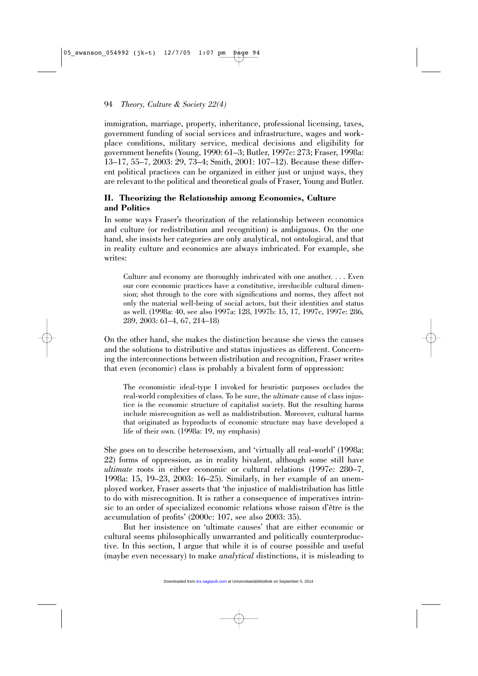immigration, marriage, property, inheritance, professional licensing, taxes, government funding of social services and infrastructure, wages and workplace conditions, military service, medical decisions and eligibility for government benefits (Young, 1990: 61–3; Butler, 1997c: 273; Fraser, 1998a: 13–17, 55–7, 2003: 29, 73–4; Smith, 2001: 107–12). Because these different political practices can be organized in either just or unjust ways, they are relevant to the political and theoretical goals of Fraser, Young and Butler.

#### **II. Theorizing the Relationship among Economics, Culture and Politics**

In some ways Fraser's theorization of the relationship between economics and culture (or redistribution and recognition) is ambiguous. On the one hand, she insists her categories are only analytical, not ontological, and that in reality culture and economics are always imbricated. For example, she writes:

Culture and economy are thoroughly imbricated with one another. . . . Even our core economic practices have a constitutive, irreducible cultural dimension; shot through to the core with significations and norms, they affect not only the material well-being of social actors, but their identities and status as well. (1998a: 40, see also 1997a: 128, 1997b: 15, 17, 1997c, 1997e: 286, 289, 2003: 61–4, 67, 214–18)

On the other hand, she makes the distinction because she views the causes and the solutions to distributive and status injustices as different. Concerning the interconnections between distribution and recognition, Fraser writes that even (economic) class is probably a bivalent form of oppression:

The economistic ideal-type I invoked for heuristic purposes occludes the real-world complexities of class. To be sure, the *ultimate* cause of class injustice is the economic structure of capitalist society. But the resulting harms include misrecognition as well as maldistribution. Moreover, cultural harms that originated as byproducts of economic structure may have developed a life of their own. (1998a: 19, my emphasis)

She goes on to describe heterosexism, and 'virtually all real-world' (1998a: 22) forms of oppression, as in reality bivalent, although some still have *ultimate* roots in either economic or cultural relations (1997e: 280–7, 1998a: 15, 19–23, 2003: 16–25). Similarly, in her example of an unemployed worker, Fraser asserts that 'the injustice of maldistribution has little to do with misrecognition. It is rather a consequence of imperatives intrinsic to an order of specialized economic relations whose raison d'être is the accumulation of profits' (2000c: 107, see also 2003: 35).

But her insistence on 'ultimate causes' that are either economic or cultural seems philosophically unwarranted and politically counterproductive. In this section, I argue that while it is of course possible and useful (maybe even necessary) to make *analytical* distinctions, it is misleading to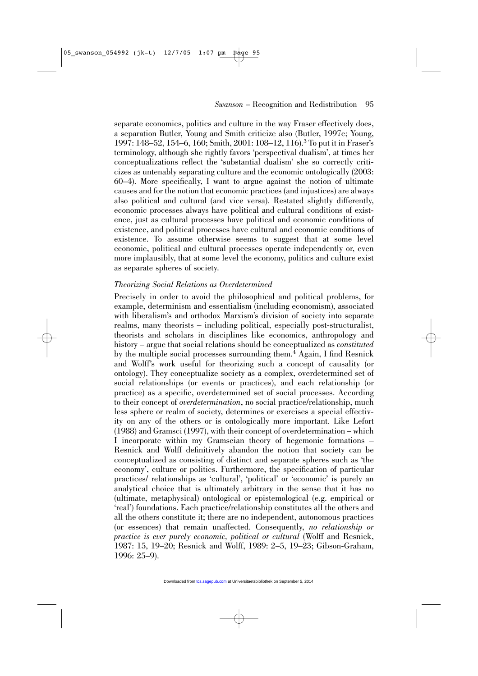separate economics, politics and culture in the way Fraser effectively does, a separation Butler, Young and Smith criticize also (Butler, 1997c; Young, 1997: 148–52, 154–6, 160; Smith, 2001: 108–12, 116).3 To put it in Fraser's terminology, although she rightly favors 'perspectival dualism', at times her conceptualizations reflect the 'substantial dualism' she so correctly criticizes as untenably separating culture and the economic ontologically (2003: 60–4). More specifically, I want to argue against the notion of ultimate causes and for the notion that economic practices (and injustices) are always also political and cultural (and vice versa). Restated slightly differently, economic processes always have political and cultural conditions of existence, just as cultural processes have political and economic conditions of existence, and political processes have cultural and economic conditions of existence. To assume otherwise seems to suggest that at some level economic, political and cultural processes operate independently or, even more implausibly, that at some level the economy, politics and culture exist as separate spheres of society.

#### *Theorizing Social Relations as Overdetermined*

Precisely in order to avoid the philosophical and political problems, for example, determinism and essentialism (including economism), associated with liberalism's and orthodox Marxism's division of society into separate realms, many theorists – including political, especially post-structuralist, theorists and scholars in disciplines like economics, anthropology and history – argue that social relations should be conceptualized as *constituted* by the multiple social processes surrounding them.4 Again, I find Resnick and Wolff's work useful for theorizing such a concept of causality (or ontology). They conceptualize society as a complex, overdetermined set of social relationships (or events or practices), and each relationship (or practice) as a specific, overdetermined set of social processes. According to their concept of *overdetermination*, no social practice/relationship, much less sphere or realm of society, determines or exercises a special effectivity on any of the others or is ontologically more important. Like Lefort (1988) and Gramsci (1997), with their concept of overdetermination – which I incorporate within my Gramscian theory of hegemonic formations – Resnick and Wolff definitively abandon the notion that society can be conceptualized as consisting of distinct and separate spheres such as 'the economy', culture or politics. Furthermore, the specification of particular practices/ relationships as 'cultural', 'political' or 'economic' is purely an analytical choice that is ultimately arbitrary in the sense that it has no (ultimate, metaphysical) ontological or epistemological (e.g. empirical or 'real') foundations. Each practice/relationship constitutes all the others and all the others constitute it; there are no independent, autonomous practices (or essences) that remain unaffected. Consequently, *no relationship or practice is ever purely economic, political or cultural* (Wolff and Resnick, 1987: 15, 19–20; Resnick and Wolff, 1989: 2–5, 19–23; Gibson-Graham, 1996: 25–9).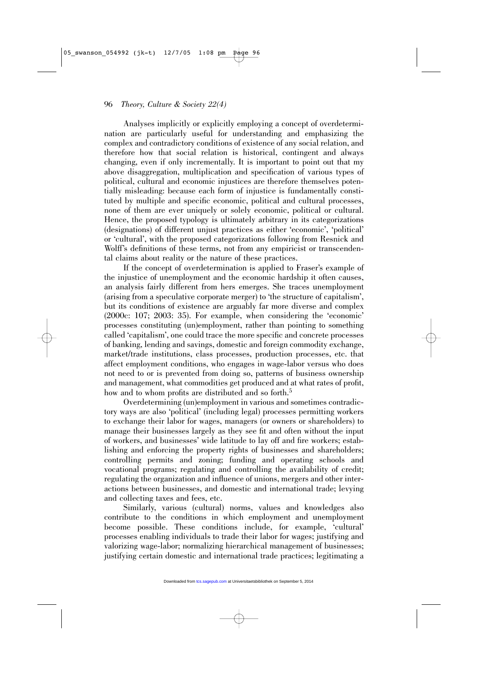Analyses implicitly or explicitly employing a concept of overdetermination are particularly useful for understanding and emphasizing the complex and contradictory conditions of existence of any social relation, and therefore how that social relation is historical, contingent and always changing, even if only incrementally. It is important to point out that my above disaggregation, multiplication and specification of various types of political, cultural and economic injustices are therefore themselves potentially misleading: because each form of injustice is fundamentally constituted by multiple and specific economic, political and cultural processes, none of them are ever uniquely or solely economic, political or cultural. Hence, the proposed typology is ultimately arbitrary in its categorizations (designations) of different unjust practices as either 'economic', 'political' or 'cultural', with the proposed categorizations following from Resnick and Wolff's definitions of these terms, not from any empiricist or transcendental claims about reality or the nature of these practices.

If the concept of overdetermination is applied to Fraser's example of the injustice of unemployment and the economic hardship it often causes, an analysis fairly different from hers emerges. She traces unemployment (arising from a speculative corporate merger) to 'the structure of capitalism', but its conditions of existence are arguably far more diverse and complex (2000c: 107; 2003: 35). For example, when considering the 'economic' processes constituting (un)employment, rather than pointing to something called 'capitalism', one could trace the more specific and concrete processes of banking, lending and savings, domestic and foreign commodity exchange, market/trade institutions, class processes, production processes, etc. that affect employment conditions, who engages in wage-labor versus who does not need to or is prevented from doing so, patterns of business ownership and management, what commodities get produced and at what rates of profit, how and to whom profits are distributed and so forth.<sup>5</sup>

Overdetermining (un)employment in various and sometimes contradictory ways are also 'political' (including legal) processes permitting workers to exchange their labor for wages, managers (or owners or shareholders) to manage their businesses largely as they see fit and often without the input of workers, and businesses' wide latitude to lay off and fire workers; establishing and enforcing the property rights of businesses and shareholders; controlling permits and zoning; funding and operating schools and vocational programs; regulating and controlling the availability of credit; regulating the organization and influence of unions, mergers and other interactions between businesses, and domestic and international trade; levying and collecting taxes and fees, etc.

Similarly, various (cultural) norms, values and knowledges also contribute to the conditions in which employment and unemployment become possible. These conditions include, for example, 'cultural' processes enabling individuals to trade their labor for wages; justifying and valorizing wage-labor; normalizing hierarchical management of businesses; justifying certain domestic and international trade practices; legitimating a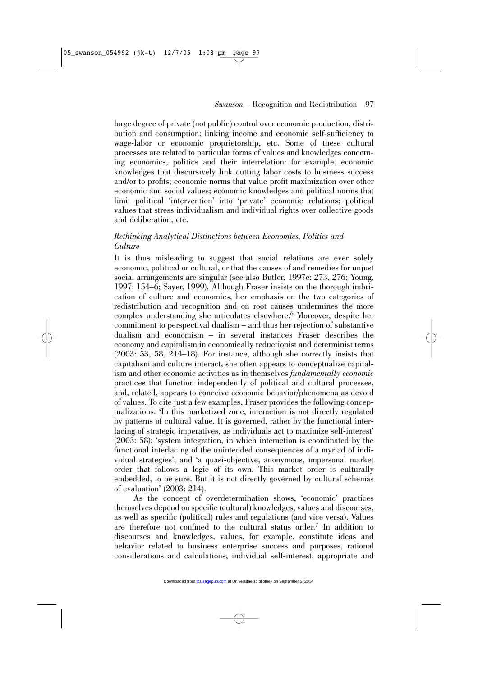large degree of private (not public) control over economic production, distribution and consumption; linking income and economic self-sufficiency to wage-labor or economic proprietorship, etc. Some of these cultural processes are related to particular forms of values and knowledges concerning economics, politics and their interrelation: for example, economic knowledges that discursively link cutting labor costs to business success and/or to profits; economic norms that value profit maximization over other economic and social values; economic knowledges and political norms that limit political 'intervention' into 'private' economic relations; political values that stress individualism and individual rights over collective goods and deliberation, etc.

#### *Rethinking Analytical Distinctions between Economics, Politics and Culture*

It is thus misleading to suggest that social relations are ever solely economic, political or cultural, or that the causes of and remedies for unjust social arrangements are singular (see also Butler, 1997c: 273, 276; Young, 1997: 154–6; Sayer, 1999). Although Fraser insists on the thorough imbrication of culture and economics, her emphasis on the two categories of redistribution and recognition and on root causes undermines the more complex understanding she articulates elsewhere.6 Moreover, despite her commitment to perspectival dualism – and thus her rejection of substantive dualism and economism – in several instances Fraser describes the economy and capitalism in economically reductionist and determinist terms (2003: 53, 58, 214–18). For instance, although she correctly insists that capitalism and culture interact, she often appears to conceptualize capitalism and other economic activities as in themselves *fundamentally economic* practices that function independently of political and cultural processes, and, related, appears to conceive economic behavior/phenomena as devoid of values. To cite just a few examples, Fraser provides the following conceptualizations: 'In this marketized zone, interaction is not directly regulated by patterns of cultural value. It is governed, rather by the functional interlacing of strategic imperatives, as individuals act to maximize self-interest' (2003: 58); 'system integration, in which interaction is coordinated by the functional interlacing of the unintended consequences of a myriad of individual strategies'; and 'a quasi-objective, anonymous, impersonal market order that follows a logic of its own. This market order is culturally embedded, to be sure. But it is not directly governed by cultural schemas of evaluation' (2003: 214).

As the concept of overdetermination shows, 'economic' practices themselves depend on specific (cultural) knowledges, values and discourses, as well as specific (political) rules and regulations (and vice versa). Values are therefore not confined to the cultural status order.7 In addition to discourses and knowledges, values, for example, constitute ideas and behavior related to business enterprise success and purposes, rational considerations and calculations, individual self-interest, appropriate and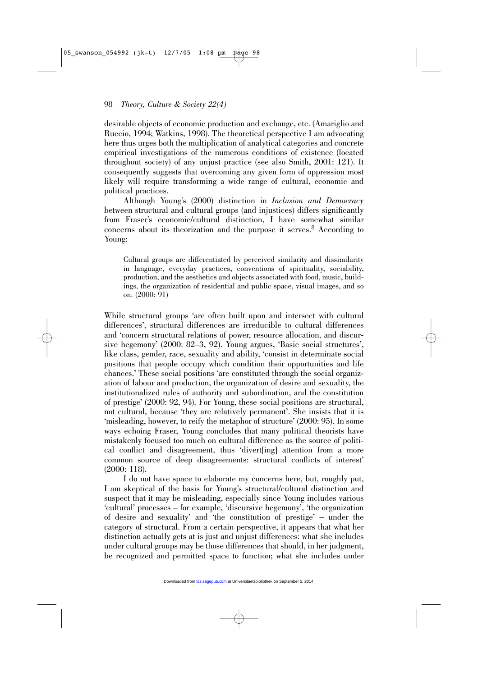desirable objects of economic production and exchange, etc. (Amariglio and Ruccio, 1994; Watkins, 1998). The theoretical perspective I am advocating here thus urges both the multiplication of analytical categories and concrete empirical investigations of the numerous conditions of existence (located throughout society) of any unjust practice (see also Smith, 2001: 121). It consequently suggests that overcoming any given form of oppression most likely will require transforming a wide range of cultural, economic and political practices.

Although Young's (2000) distinction in *Inclusion and Democracy* between structural and cultural groups (and injustices) differs significantly from Fraser's economic/cultural distinction, I have somewhat similar concerns about its theorization and the purpose it serves.<sup>8</sup> According to Young:

Cultural groups are differentiated by perceived similarity and dissimilarity in language, everyday practices, conventions of spirituality, sociability, production, and the aesthetics and objects associated with food, music, buildings, the organization of residential and public space, visual images, and so on. (2000: 91)

While structural groups 'are often built upon and intersect with cultural differences', structural differences are irreducible to cultural differences and 'concern structural relations of power, resource allocation, and discursive hegemony' (2000: 82–3, 92). Young argues, 'Basic social structures', like class, gender, race, sexuality and ability, 'consist in determinate social positions that people occupy which condition their opportunities and life chances.' These social positions 'are constituted through the social organization of labour and production, the organization of desire and sexuality, the institutionalized rules of authority and subordination, and the constitution of prestige' (2000: 92, 94). For Young, these social positions are structural, not cultural, because 'they are relatively permanent'. She insists that it is 'misleading, however, to reify the metaphor of structure' (2000: 95). In some ways echoing Fraser, Young concludes that many political theorists have mistakenly focused too much on cultural difference as the source of political conflict and disagreement, thus 'divert[ing] attention from a more common source of deep disagreements: structural conflicts of interest' (2000: 118).

I do not have space to elaborate my concerns here, but, roughly put, I am skeptical of the basis for Young's structural/cultural distinction and suspect that it may be misleading, especially since Young includes various 'cultural' processes – for example, 'discursive hegemony', 'the organization of desire and sexuality' and 'the constitution of prestige' – under the category of structural. From a certain perspective, it appears that what her distinction actually gets at is just and unjust differences: what she includes under cultural groups may be those differences that should, in her judgment, be recognized and permitted space to function; what she includes under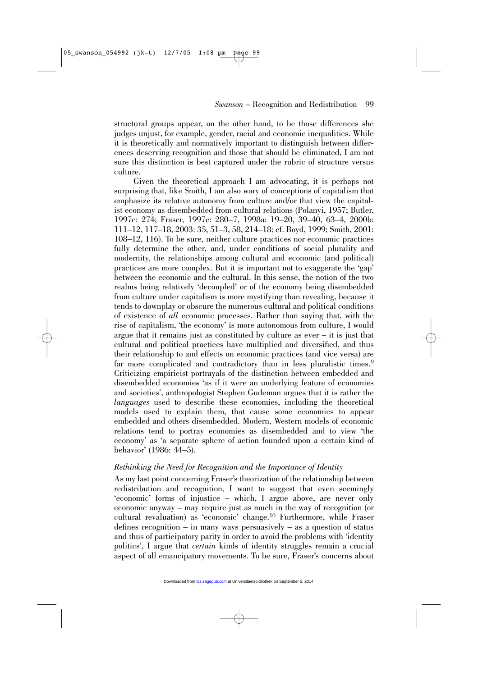structural groups appear, on the other hand, to be those differences she judges unjust, for example, gender, racial and economic inequalities. While it is theoretically and normatively important to distinguish between differences deserving recognition and those that should be eliminated, I am not sure this distinction is best captured under the rubric of structure versus culture.

Given the theoretical approach I am advocating, it is perhaps not surprising that, like Smith, I am also wary of conceptions of capitalism that emphasize its relative autonomy from culture and/or that view the capitalist economy as disembedded from cultural relations (Polanyi, 1957; Butler, 1997c: 274; Fraser, 1997e: 280–7, 1998a: 19–20, 39–40, 63–4, 2000b: 111–12, 117–18, 2003: 35, 51–3, 58, 214–18; cf. Boyd, 1999; Smith, 2001: 108–12, 116). To be sure, neither culture practices nor economic practices fully determine the other, and, under conditions of social plurality and modernity, the relationships among cultural and economic (and political) practices are more complex. But it is important not to exaggerate the 'gap' between the economic and the cultural. In this sense, the notion of the two realms being relatively 'decoupled' or of the economy being disembedded from culture under capitalism is more mystifying than revealing, because it tends to downplay or obscure the numerous cultural and political conditions of existence of *all* economic processes. Rather than saying that, with the rise of capitalism, 'the economy' is more autonomous from culture, I would argue that it remains just as constituted by culture as ever – it is just that cultural and political practices have multiplied and diversified, and thus their relationship to and effects on economic practices (and vice versa) are far more complicated and contradictory than in less pluralistic times.<sup>9</sup> Criticizing empiricist portrayals of the distinction between embedded and disembedded economies 'as if it were an underlying feature of economies and societies', anthropologist Stephen Gudeman argues that it is rather the *languages* used to describe these economies, including the theoretical models used to explain them, that cause some economies to appear embedded and others disembedded. Modern, Western models of economic relations tend to portray economies as disembedded and to view 'the economy' as 'a separate sphere of action founded upon a certain kind of behavior' (1986: 44–5).

#### *Rethinking the Need for Recognition and the Importance of Identity*

As my last point concerning Fraser's theorization of the relationship between redistribution and recognition, I want to suggest that even seemingly 'economic' forms of injustice – which, I argue above, are never only economic anyway – may require just as much in the way of recognition (or cultural revaluation) as 'economic' change.10 Furthermore, while Fraser defines recognition – in many ways persuasively – as a question of status and thus of participatory parity in order to avoid the problems with 'identity politics', I argue that *certain* kinds of identity struggles remain a crucial aspect of all emancipatory movements. To be sure, Fraser's concerns about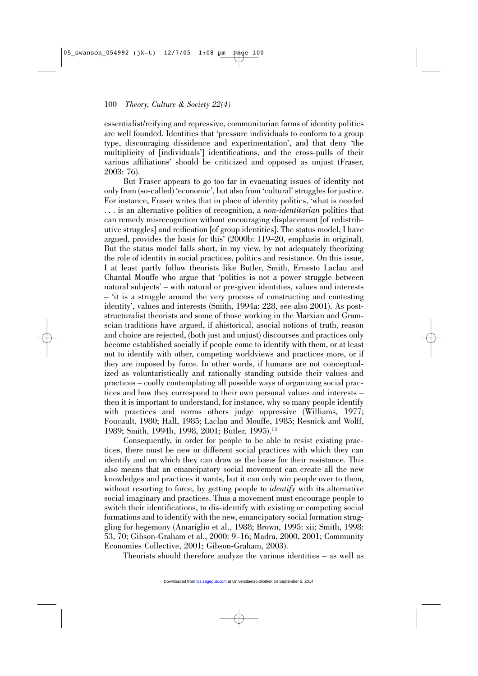essentialist/reifying and repressive, communitarian forms of identity politics are well founded. Identities that 'pressure individuals to conform to a group type, discouraging dissidence and experimentation', and that deny 'the multiplicity of [individuals'] identifications, and the cross-pulls of their various affiliations' should be criticized and opposed as unjust (Fraser, 2003: 76).

But Fraser appears to go too far in evacuating issues of identity not only from (so-called) 'economic', but also from 'cultural' struggles for justice. For instance, Fraser writes that in place of identity politics, 'what is needed . . . is an alternative politics of recognition, a *non-identitarian* politics that can remedy misrecognition without encouraging displacement [of redistributive struggles] and reification [of group identities]. The status model, I have argued, provides the basis for this' (2000b: 119–20, emphasis in original). But the status model falls short, in my view, by not adequately theorizing the role of identity in social practices, politics and resistance. On this issue, I at least partly follow theorists like Butler, Smith, Ernesto Laclau and Chantal Mouffe who argue that 'politics is not a power struggle between natural subjects' – with natural or pre-given identities, values and interests – 'it is a struggle around the very process of constructing and contesting identity', values and interests (Smith, 1994a: 228, see also 2001). As poststructuralist theorists and some of those working in the Marxian and Gramscian traditions have argued, if ahistorical, asocial notions of truth, reason and choice are rejected, (both just and unjust) discourses and practices only become established socially if people come to identify with them, or at least not to identify with other, competing worldviews and practices more, or if they are imposed by force. In other words, if humans are not conceptualized as voluntaristically and rationally standing outside their values and practices – coolly contemplating all possible ways of organizing social practices and how they correspond to their own personal values and interests – then it is important to understand, for instance, why so many people identify with practices and norms others judge oppressive (Williams, 1977; Foucault, 1980; Hall, 1985; Laclau and Mouffe, 1985; Resnick and Wolff, 1989; Smith, 1994b, 1998, 2001; Butler, 1995).<sup>11</sup>

Consequently, in order for people to be able to resist existing practices, there must be new or different social practices with which they can identify and on which they can draw as the basis for their resistance. This also means that an emancipatory social movement can create all the new knowledges and practices it wants, but it can only win people over to them, without resorting to force, by getting people to *identify* with its alternative social imaginary and practices. Thus a movement must encourage people to switch their identifications, to dis-identify with existing or competing social formations and to identify with the new, emancipatory social formation struggling for hegemony (Amariglio et al., 1988; Brown, 1995: xii; Smith, 1998: 53, 70; Gibson-Graham et al., 2000: 9–16; Madra, 2000, 2001; Community Economies Collective, 2001; Gibson-Graham, 2003).

Theorists should therefore analyze the various identities – as well as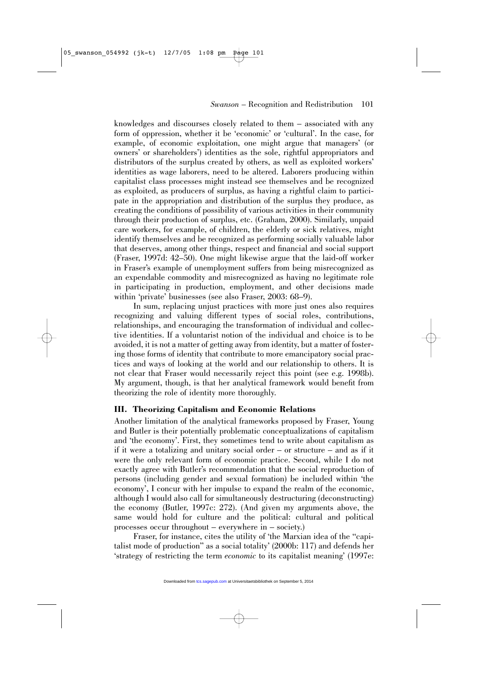knowledges and discourses closely related to them – associated with any form of oppression, whether it be 'economic' or 'cultural'. In the case, for example, of economic exploitation, one might argue that managers' (or owners' or shareholders') identities as the sole, rightful appropriators and distributors of the surplus created by others, as well as exploited workers' identities as wage laborers, need to be altered. Laborers producing within capitalist class processes might instead see themselves and be recognized as exploited, as producers of surplus, as having a rightful claim to participate in the appropriation and distribution of the surplus they produce, as creating the conditions of possibility of various activities in their community through their production of surplus, etc. (Graham, 2000). Similarly, unpaid care workers, for example, of children, the elderly or sick relatives, might identify themselves and be recognized as performing socially valuable labor that deserves, among other things, respect and financial and social support (Fraser, 1997d: 42–50). One might likewise argue that the laid-off worker in Fraser's example of unemployment suffers from being misrecognized as an expendable commodity and misrecognized as having no legitimate role in participating in production, employment, and other decisions made within 'private' businesses (see also Fraser, 2003: 68–9).

In sum, replacing unjust practices with more just ones also requires recognizing and valuing different types of social roles, contributions, relationships, and encouraging the transformation of individual and collective identities. If a voluntarist notion of the individual and choice is to be avoided, it is not a matter of getting away from identity, but a matter of fostering those forms of identity that contribute to more emancipatory social practices and ways of looking at the world and our relationship to others. It is not clear that Fraser would necessarily reject this point (see e.g. 1998b). My argument, though, is that her analytical framework would benefit from theorizing the role of identity more thoroughly.

#### **III. Theorizing Capitalism and Economic Relations**

Another limitation of the analytical frameworks proposed by Fraser, Young and Butler is their potentially problematic conceptualizations of capitalism and 'the economy'. First, they sometimes tend to write about capitalism as if it were a totalizing and unitary social order – or structure – and as if it were the only relevant form of economic practice. Second, while I do not exactly agree with Butler's recommendation that the social reproduction of persons (including gender and sexual formation) be included within 'the economy', I concur with her impulse to expand the realm of the economic, although I would also call for simultaneously destructuring (deconstructing) the economy (Butler, 1997c: 272). (And given my arguments above, the same would hold for culture and the political: cultural and political processes occur throughout – everywhere in – society.)

Fraser, for instance, cites the utility of 'the Marxian idea of the "capitalist mode of production" as a social totality' (2000b: 117) and defends her 'strategy of restricting the term *economic* to its capitalist meaning' (1997e: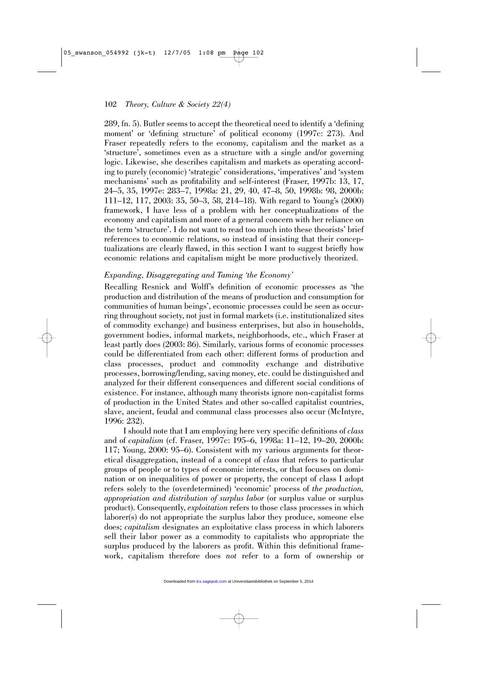289, fn. 5). Butler seems to accept the theoretical need to identify a 'defining moment' or 'defining structure' of political economy (1997c: 273). And Fraser repeatedly refers to the economy, capitalism and the market as a 'structure', sometimes even as a structure with a single and/or governing logic. Likewise, she describes capitalism and markets as operating according to purely (economic) 'strategic' considerations, 'imperatives' and 'system mechanisms' such as profitability and self-interest (Fraser, 1997b: 13, 17, 24–5, 35, 1997e: 283–7, 1998a: 21, 29, 40, 47–8, 50, 1998b: 98, 2000b: 111–12, 117, 2003: 35, 50–3, 58, 214–18). With regard to Young's (2000) framework, I have less of a problem with her conceptualizations of the economy and capitalism and more of a general concern with her reliance on the term 'structure'. I do not want to read too much into these theorists' brief references to economic relations, so instead of insisting that their conceptualizations are clearly flawed, in this section I want to suggest briefly how economic relations and capitalism might be more productively theorized.

#### *Expanding, Disaggregating and Taming 'the Economy'*

Recalling Resnick and Wolff's definition of economic processes as 'the production and distribution of the means of production and consumption for communities of human beings', economic processes could be seen as occurring throughout society, not just in formal markets (i.e. institutionalized sites of commodity exchange) and business enterprises, but also in households, government bodies, informal markets, neighborhoods, etc., which Fraser at least partly does (2003: 86). Similarly, various forms of economic processes could be differentiated from each other: different forms of production and class processes, product and commodity exchange and distributive processes, borrowing/lending, saving money, etc. could be distinguished and analyzed for their different consequences and different social conditions of existence. For instance, although many theorists ignore non-capitalist forms of production in the United States and other so-called capitalist countries, slave, ancient, feudal and communal class processes also occur (McIntyre, 1996: 232).

I should note that I am employing here very specific definitions of *class* and of *capitalism* (cf. Fraser, 1997c: 195–6, 1998a: 11–12, 19–20, 2000b: 117; Young, 2000: 95–6). Consistent with my various arguments for theoretical disaggregation, instead of a concept of *class* that refers to particular groups of people or to types of economic interests, or that focuses on domination or on inequalities of power or property, the concept of class I adopt refers solely to the (overdetermined) 'economic' process of *the production, appropriation and distribution of surplus labor* (or surplus value or surplus product). Consequently, *exploitation* refers to those class processes in which laborer(s) do not appropriate the surplus labor they produce, someone else does; *capitalism* designates an exploitative class process in which laborers sell their labor power as a commodity to capitalists who appropriate the surplus produced by the laborers as profit. Within this definitional framework, capitalism therefore does *not* refer to a form of ownership or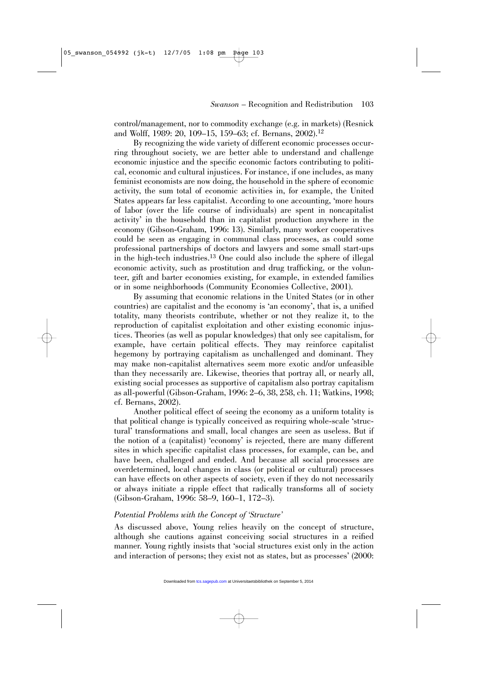control/management, nor to commodity exchange (e.g. in markets) (Resnick and Wolff, 1989: 20, 109–15, 159–63; cf. Bernans, 2002).<sup>12</sup>

By recognizing the wide variety of different economic processes occurring throughout society, we are better able to understand and challenge economic injustice and the specific economic factors contributing to political, economic and cultural injustices. For instance, if one includes, as many feminist economists are now doing, the household in the sphere of economic activity, the sum total of economic activities in, for example, the United States appears far less capitalist. According to one accounting, 'more hours of labor (over the life course of individuals) are spent in noncapitalist activity' in the household than in capitalist production anywhere in the economy (Gibson-Graham, 1996: 13). Similarly, many worker cooperatives could be seen as engaging in communal class processes, as could some professional partnerships of doctors and lawyers and some small start-ups in the high-tech industries.13 One could also include the sphere of illegal economic activity, such as prostitution and drug trafficking, or the volunteer, gift and barter economies existing, for example, in extended families or in some neighborhoods (Community Economies Collective, 2001).

By assuming that economic relations in the United States (or in other countries) are capitalist and the economy is 'an economy', that is, a unified totality, many theorists contribute, whether or not they realize it, to the reproduction of capitalist exploitation and other existing economic injustices. Theories (as well as popular knowledges) that only see capitalism, for example, have certain political effects. They may reinforce capitalist hegemony by portraying capitalism as unchallenged and dominant. They may make non-capitalist alternatives seem more exotic and/or unfeasible than they necessarily are. Likewise, theories that portray all, or nearly all, existing social processes as supportive of capitalism also portray capitalism as all-powerful (Gibson-Graham, 1996: 2–6, 38, 258, ch. 11; Watkins, 1998; cf. Bernans, 2002).

Another political effect of seeing the economy as a uniform totality is that political change is typically conceived as requiring whole-scale 'structural' transformations and small, local changes are seen as useless. But if the notion of a (capitalist) 'economy' is rejected, there are many different sites in which specific capitalist class processes, for example, can be, and have been, challenged and ended. And because all social processes are overdetermined, local changes in class (or political or cultural) processes can have effects on other aspects of society, even if they do not necessarily or always initiate a ripple effect that radically transforms all of society (Gibson-Graham, 1996: 58–9, 160–1, 172–3).

#### *Potential Problems with the Concept of 'Structure'*

As discussed above, Young relies heavily on the concept of structure, although she cautions against conceiving social structures in a reified manner. Young rightly insists that 'social structures exist only in the action and interaction of persons; they exist not as states, but as processes' (2000: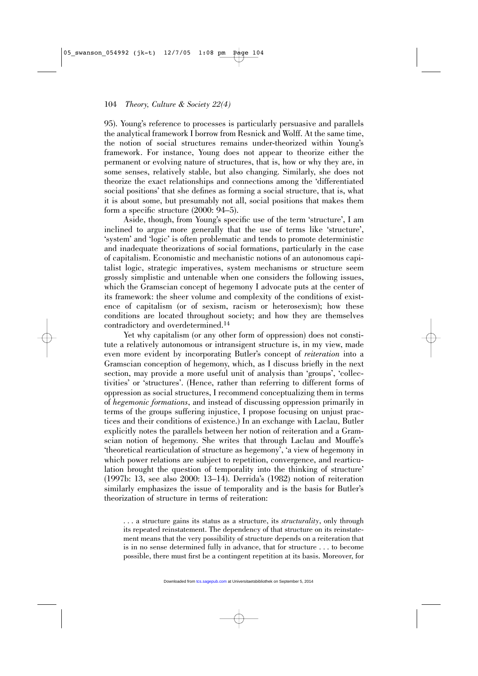95). Young's reference to processes is particularly persuasive and parallels the analytical framework I borrow from Resnick and Wolff. At the same time, the notion of social structures remains under-theorized within Young's framework. For instance, Young does not appear to theorize either the permanent or evolving nature of structures, that is, how or why they are, in some senses, relatively stable, but also changing. Similarly, she does not theorize the exact relationships and connections among the 'differentiated social positions' that she defines as forming a social structure, that is, what it is about some, but presumably not all, social positions that makes them form a specific structure (2000: 94–5).

Aside, though, from Young's specific use of the term 'structure', I am inclined to argue more generally that the use of terms like 'structure', 'system' and 'logic' is often problematic and tends to promote deterministic and inadequate theorizations of social formations, particularly in the case of capitalism. Economistic and mechanistic notions of an autonomous capitalist logic, strategic imperatives, system mechanisms or structure seem grossly simplistic and untenable when one considers the following issues, which the Gramscian concept of hegemony I advocate puts at the center of its framework: the sheer volume and complexity of the conditions of existence of capitalism (or of sexism, racism or heterosexism); how these conditions are located throughout society; and how they are themselves contradictory and overdetermined.14

Yet why capitalism (or any other form of oppression) does not constitute a relatively autonomous or intransigent structure is, in my view, made even more evident by incorporating Butler's concept of *reiteration* into a Gramscian conception of hegemony, which, as I discuss briefly in the next section, may provide a more useful unit of analysis than 'groups', 'collectivities' or 'structures'. (Hence, rather than referring to different forms of oppression as social structures, I recommend conceptualizing them in terms of *hegemonic formations*, and instead of discussing oppression primarily in terms of the groups suffering injustice, I propose focusing on unjust practices and their conditions of existence.) In an exchange with Laclau, Butler explicitly notes the parallels between her notion of reiteration and a Gramscian notion of hegemony. She writes that through Laclau and Mouffe's 'theoretical rearticulation of structure as hegemony', 'a view of hegemony in which power relations are subject to repetition, convergence, and rearticulation brought the question of temporality into the thinking of structure' (1997b: 13, see also 2000: 13–14). Derrida's (1982) notion of reiteration similarly emphasizes the issue of temporality and is the basis for Butler's theorization of structure in terms of reiteration:

. . . a structure gains its status as a structure, its *structurality*, only through its repeated reinstatement. The dependency of that structure on its reinstatement means that the very possibility of structure depends on a reiteration that is in no sense determined fully in advance, that for structure . . . to become possible, there must first be a contingent repetition at its basis. Moreover, for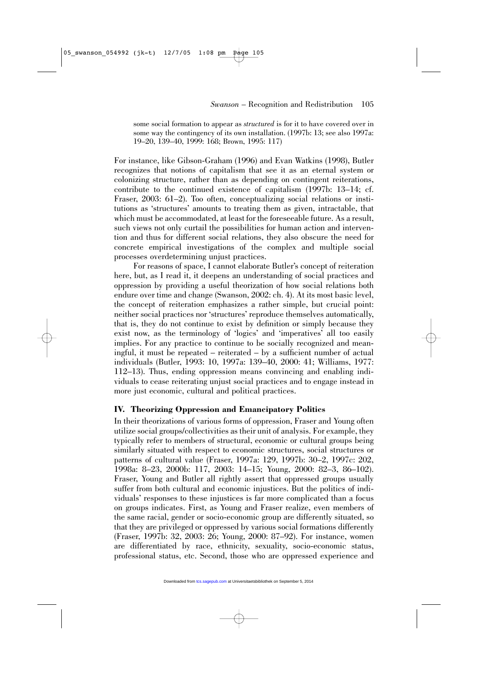some social formation to appear as *structured* is for it to have covered over in some way the contingency of its own installation. (1997b: 13; see also 1997a: 19–20, 139–40, 1999: 168; Brown, 1995: 117)

For instance, like Gibson-Graham (1996) and Evan Watkins (1998), Butler recognizes that notions of capitalism that see it as an eternal system or colonizing structure, rather than as depending on contingent reiterations, contribute to the continued existence of capitalism (1997b: 13–14; cf. Fraser, 2003: 61–2). Too often, conceptualizing social relations or institutions as 'structures' amounts to treating them as given, intractable, that which must be accommodated, at least for the foreseeable future. As a result, such views not only curtail the possibilities for human action and intervention and thus for different social relations, they also obscure the need for concrete empirical investigations of the complex and multiple social processes overdetermining unjust practices.

For reasons of space, I cannot elaborate Butler's concept of reiteration here, but, as I read it, it deepens an understanding of social practices and oppression by providing a useful theorization of how social relations both endure over time and change (Swanson, 2002: ch. 4). At its most basic level, the concept of reiteration emphasizes a rather simple, but crucial point: neither social practices nor 'structures' reproduce themselves automatically, that is, they do not continue to exist by definition or simply because they exist now, as the terminology of 'logics' and 'imperatives' all too easily implies. For any practice to continue to be socially recognized and meaningful, it must be repeated – reiterated – by a sufficient number of actual individuals (Butler, 1993: 10, 1997a: 139–40, 2000: 41; Williams, 1977: 112–13). Thus, ending oppression means convincing and enabling individuals to cease reiterating unjust social practices and to engage instead in more just economic, cultural and political practices.

#### **IV. Theorizing Oppression and Emancipatory Politics**

In their theorizations of various forms of oppression, Fraser and Young often utilize social groups/collectivities as their unit of analysis. For example, they typically refer to members of structural, economic or cultural groups being similarly situated with respect to economic structures, social structures or patterns of cultural value (Fraser, 1997a: 129, 1997b: 30–2, 1997c: 202, 1998a: 8–23, 2000b: 117, 2003: 14–15; Young, 2000: 82–3, 86–102). Fraser, Young and Butler all rightly assert that oppressed groups usually suffer from both cultural and economic injustices. But the politics of individuals' responses to these injustices is far more complicated than a focus on groups indicates. First, as Young and Fraser realize, even members of the same racial, gender or socio-economic group are differently situated, so that they are privileged or oppressed by various social formations differently (Fraser, 1997b: 32, 2003: 26; Young, 2000: 87–92). For instance, women are differentiated by race, ethnicity, sexuality, socio-economic status, professional status, etc. Second, those who are oppressed experience and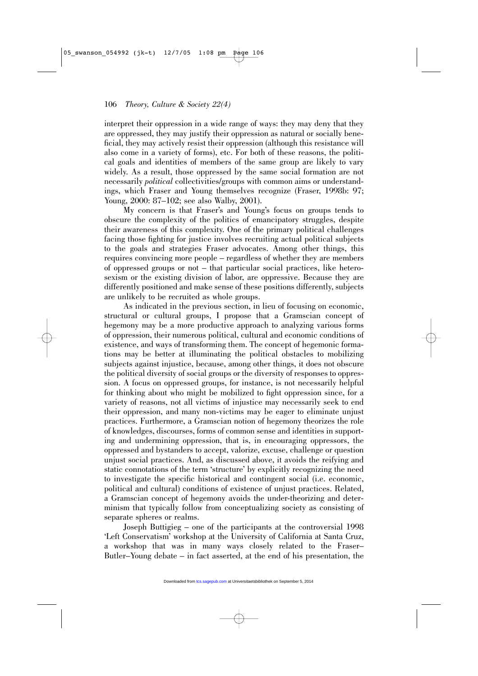interpret their oppression in a wide range of ways: they may deny that they are oppressed, they may justify their oppression as natural or socially beneficial, they may actively resist their oppression (although this resistance will also come in a variety of forms), etc. For both of these reasons, the political goals and identities of members of the same group are likely to vary widely. As a result, those oppressed by the same social formation are not necessarily *political* collectivities/groups with common aims or understandings, which Fraser and Young themselves recognize (Fraser, 1998b: 97; Young, 2000: 87–102; see also Walby, 2001).

My concern is that Fraser's and Young's focus on groups tends to obscure the complexity of the politics of emancipatory struggles, despite their awareness of this complexity. One of the primary political challenges facing those fighting for justice involves recruiting actual political subjects to the goals and strategies Fraser advocates. Among other things, this requires convincing more people – regardless of whether they are members of oppressed groups or not – that particular social practices, like heterosexism or the existing division of labor, are oppressive. Because they are differently positioned and make sense of these positions differently, subjects are unlikely to be recruited as whole groups.

As indicated in the previous section, in lieu of focusing on economic, structural or cultural groups, I propose that a Gramscian concept of hegemony may be a more productive approach to analyzing various forms of oppression, their numerous political, cultural and economic conditions of existence, and ways of transforming them. The concept of hegemonic formations may be better at illuminating the political obstacles to mobilizing subjects against injustice, because, among other things, it does not obscure the political diversity of social groups or the diversity of responses to oppression. A focus on oppressed groups, for instance, is not necessarily helpful for thinking about who might be mobilized to fight oppression since, for a variety of reasons, not all victims of injustice may necessarily seek to end their oppression, and many non-victims may be eager to eliminate unjust practices. Furthermore, a Gramscian notion of hegemony theorizes the role of knowledges, discourses, forms of common sense and identities in supporting and undermining oppression, that is, in encouraging oppressors, the oppressed and bystanders to accept, valorize, excuse, challenge or question unjust social practices. And, as discussed above, it avoids the reifying and static connotations of the term 'structure' by explicitly recognizing the need to investigate the specific historical and contingent social (i.e. economic, political and cultural) conditions of existence of unjust practices. Related, a Gramscian concept of hegemony avoids the under-theorizing and determinism that typically follow from conceptualizing society as consisting of separate spheres or realms.

Joseph Buttigieg – one of the participants at the controversial 1998 'Left Conservatism' workshop at the University of California at Santa Cruz, a workshop that was in many ways closely related to the Fraser– Butler–Young debate – in fact asserted, at the end of his presentation, the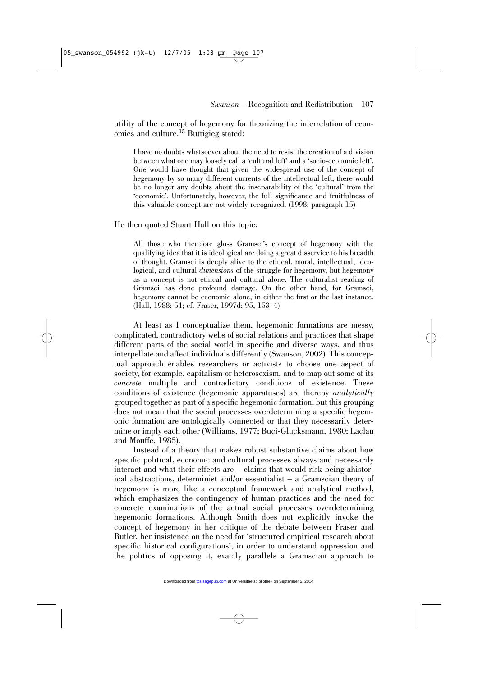utility of the concept of hegemony for theorizing the interrelation of economics and culture.<sup>15</sup> Buttigieg stated:

I have no doubts whatsoever about the need to resist the creation of a division between what one may loosely call a 'cultural left' and a 'socio-economic left'. One would have thought that given the widespread use of the concept of hegemony by so many different currents of the intellectual left, there would be no longer any doubts about the inseparability of the 'cultural' from the 'economic'. Unfortunately, however, the full significance and fruitfulness of this valuable concept are not widely recognized. (1998: paragraph 15)

#### He then quoted Stuart Hall on this topic:

All those who therefore gloss Gramsci's concept of hegemony with the qualifying idea that it is ideological are doing a great disservice to his breadth of thought. Gramsci is deeply alive to the ethical, moral, intellectual, ideological, and cultural *dimensions* of the struggle for hegemony, but hegemony as a concept is not ethical and cultural alone. The culturalist reading of Gramsci has done profound damage. On the other hand, for Gramsci, hegemony cannot be economic alone, in either the first or the last instance. (Hall, 1988: 54; cf. Fraser, 1997d: 95, 153–4)

At least as I conceptualize them, hegemonic formations are messy, complicated, contradictory webs of social relations and practices that shape different parts of the social world in specific and diverse ways, and thus interpellate and affect individuals differently (Swanson, 2002). This conceptual approach enables researchers or activists to choose one aspect of society, for example, capitalism or heterosexism, and to map out some of its *concrete* multiple and contradictory conditions of existence. These conditions of existence (hegemonic apparatuses) are thereby *analytically* grouped together as part of a specific hegemonic formation, but this grouping does not mean that the social processes overdetermining a specific hegemonic formation are ontologically connected or that they necessarily determine or imply each other (Williams, 1977; Buci-Glucksmann, 1980; Laclau and Mouffe, 1985).

Instead of a theory that makes robust substantive claims about how specific political, economic and cultural processes always and necessarily interact and what their effects are – claims that would risk being ahistorical abstractions, determinist and/or essentialist – a Gramscian theory of hegemony is more like a conceptual framework and analytical method, which emphasizes the contingency of human practices and the need for concrete examinations of the actual social processes overdetermining hegemonic formations. Although Smith does not explicitly invoke the concept of hegemony in her critique of the debate between Fraser and Butler, her insistence on the need for 'structured empirical research about specific historical configurations', in order to understand oppression and the politics of opposing it, exactly parallels a Gramscian approach to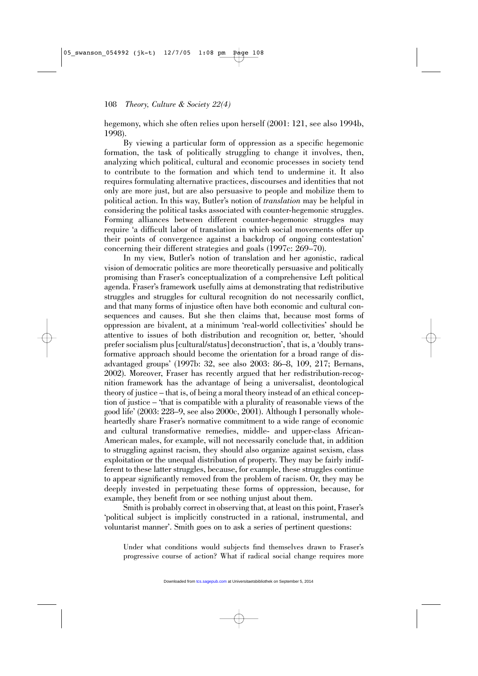hegemony, which she often relies upon herself (2001: 121, see also 1994b, 1998).

By viewing a particular form of oppression as a specific hegemonic formation, the task of politically struggling to change it involves, then, analyzing which political, cultural and economic processes in society tend to contribute to the formation and which tend to undermine it. It also requires formulating alternative practices, discourses and identities that not only are more just, but are also persuasive to people and mobilize them to political action. In this way, Butler's notion of *translation* may be helpful in considering the political tasks associated with counter-hegemonic struggles. Forming alliances between different counter-hegemonic struggles may require 'a difficult labor of translation in which social movements offer up their points of convergence against a backdrop of ongoing contestation' concerning their different strategies and goals (1997c: 269–70).

In my view, Butler's notion of translation and her agonistic, radical vision of democratic politics are more theoretically persuasive and politically promising than Fraser's conceptualization of a comprehensive Left political agenda. Fraser's framework usefully aims at demonstrating that redistributive struggles and struggles for cultural recognition do not necessarily conflict, and that many forms of injustice often have both economic and cultural consequences and causes. But she then claims that, because most forms of oppression are bivalent, at a minimum 'real-world collectivities' should be attentive to issues of both distribution and recognition or, better, 'should prefer socialism plus [cultural/status] deconstruction', that is, a 'doubly transformative approach should become the orientation for a broad range of disadvantaged groups' (1997b: 32, see also 2003: 86–8, 109, 217; Bernans, 2002). Moreover, Fraser has recently argued that her redistribution-recognition framework has the advantage of being a universalist, deontological theory of justice – that is, of being a moral theory instead of an ethical conception of justice – 'that is compatible with a plurality of reasonable views of the good life' (2003: 228–9, see also 2000c, 2001). Although I personally wholeheartedly share Fraser's normative commitment to a wide range of economic and cultural transformative remedies, middle- and upper-class African-American males, for example, will not necessarily conclude that, in addition to struggling against racism, they should also organize against sexism, class exploitation or the unequal distribution of property. They may be fairly indifferent to these latter struggles, because, for example, these struggles continue to appear significantly removed from the problem of racism. Or, they may be deeply invested in perpetuating these forms of oppression, because, for example, they benefit from or see nothing unjust about them.

Smith is probably correct in observing that, at least on this point, Fraser's 'political subject is implicitly constructed in a rational, instrumental, and voluntarist manner'. Smith goes on to ask a series of pertinent questions:

Under what conditions would subjects find themselves drawn to Fraser's progressive course of action? What if radical social change requires more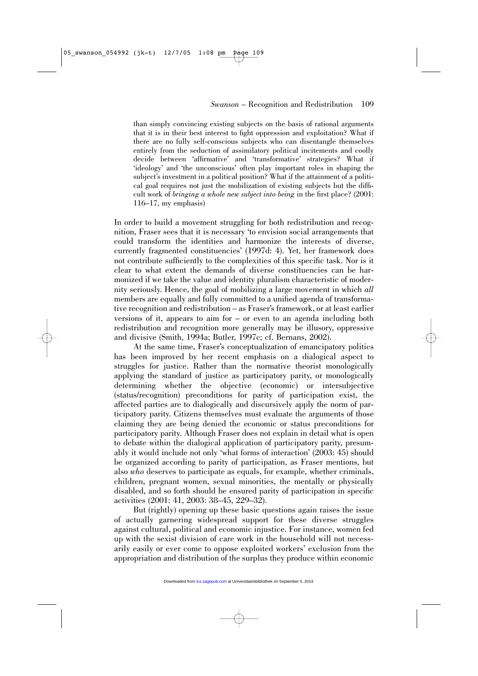than simply convincing existing subjects on the basis of rational arguments that it is in their best interest to fight oppression and exploitation? What if there are no fully self-conscious subjects who can disentangle themselves entirely from the seduction of assimilatory political incitements and coolly decide between 'affirmative' and 'transformative' strategies? What if 'ideology' and 'the unconscious' often play important roles in shaping the subject's investment in a political position? What if the attainment of a political goal requires not just the mobilization of existing subjects but the difficult work of *bringing a whole new subject into being* in the first place? (2001: 116–17, my emphasis)

In order to build a movement struggling for both redistribution and recognition, Fraser sees that it is necessary 'to envision social arrangements that could transform the identities and harmonize the interests of diverse, currently fragmented constituencies' (1997d: 4). Yet, her framework does not contribute sufficiently to the complexities of this specific task. Nor is it clear to what extent the demands of diverse constituencies can be harmonized if we take the value and identity pluralism characteristic of modernity seriously. Hence, the goal of mobilizing a large movement in which *all* members are equally and fully committed to a unified agenda of transformative recognition and redistribution – as Fraser's framework, or at least earlier versions of it, appears to aim for – or even to an agenda including both redistribution and recognition more generally may be illusory, oppressive and divisive (Smith, 1994a; Butler, 1997c; cf. Bernans, 2002).

At the same time, Fraser's conceptualization of emancipatory politics has been improved by her recent emphasis on a dialogical aspect to struggles for justice. Rather than the normative theorist monologically applying the standard of justice as participatory parity, or monologically determining whether the objective (economic) or intersubjective (status/recognition) preconditions for parity of participation exist, the affected parties are to dialogically and discursively apply the norm of participatory parity. Citizens themselves must evaluate the arguments of those claiming they are being denied the economic or status preconditions for participatory parity. Although Fraser does not explain in detail what is open to debate within the dialogical application of participatory parity, presumably it would include not only 'what forms of interaction' (2003: 45) should be organized according to parity of participation, as Fraser mentions, but also *who* deserves to participate as equals, for example, whether criminals, children, pregnant women, sexual minorities, the mentally or physically disabled, and so forth should be ensured parity of participation in specific activities (2001: 41, 2003: 38–45, 229–32).

But (rightly) opening up these basic questions again raises the issue of actually garnering widespread support for these diverse struggles against cultural, political and economic injustice. For instance, women fed up with the sexist division of care work in the household will not necessarily easily or ever come to oppose exploited workers' exclusion from the appropriation and distribution of the surplus they produce within economic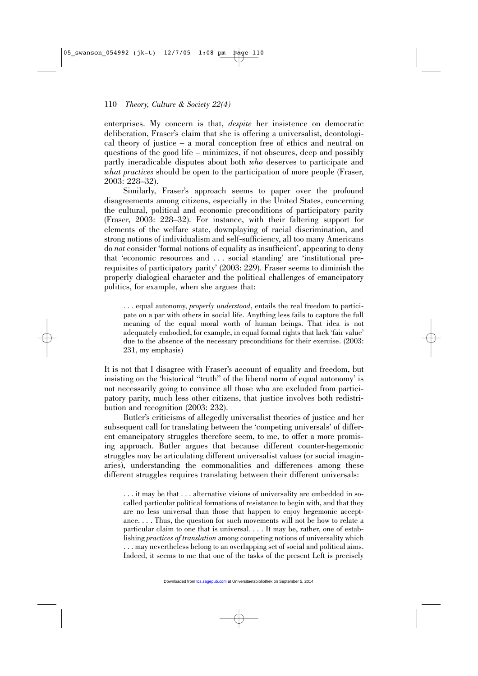enterprises. My concern is that, *despite* her insistence on democratic deliberation, Fraser's claim that she is offering a universalist, deontological theory of justice – a moral conception free of ethics and neutral on questions of the good life – minimizes, if not obscures, deep and possibly partly ineradicable disputes about both *who* deserves to participate and *what practices* should be open to the participation of more people (Fraser, 2003: 228–32).

Similarly, Fraser's approach seems to paper over the profound disagreements among citizens, especially in the United States, concerning the cultural, political and economic preconditions of participatory parity (Fraser, 2003: 228–32). For instance, with their faltering support for elements of the welfare state, downplaying of racial discrimination, and strong notions of individualism and self-sufficiency, all too many Americans do *not* consider 'formal notions of equality as insufficient', appearing to deny that 'economic resources and . . . social standing' are 'institutional prerequisites of participatory parity' (2003: 229). Fraser seems to diminish the properly dialogical character and the political challenges of emancipatory politics, for example, when she argues that:

. . . equal autonomy, *properly understood*, entails the real freedom to participate on a par with others in social life. Anything less fails to capture the full meaning of the equal moral worth of human beings. That idea is not adequately embodied, for example, in equal formal rights that lack 'fair value' due to the absence of the necessary preconditions for their exercise. (2003: 231, my emphasis)

It is not that I disagree with Fraser's account of equality and freedom, but insisting on the 'historical "truth" of the liberal norm of equal autonomy' is not necessarily going to convince all those who are excluded from participatory parity, much less other citizens, that justice involves both redistribution and recognition (2003: 232).

Butler's criticisms of allegedly universalist theories of justice and her subsequent call for translating between the 'competing universals' of different emancipatory struggles therefore seem, to me, to offer a more promising approach. Butler argues that because different counter-hegemonic struggles may be articulating different universalist values (or social imaginaries), understanding the commonalities and differences among these different struggles requires translating between their different universals:

. . . it may be that . . . alternative visions of universality are embedded in socalled particular political formations of resistance to begin with, and that they are no less universal than those that happen to enjoy hegemonic acceptance. . . . Thus, the question for such movements will not be how to relate a particular claim to one that is universal. . . . It may be, rather, one of establishing *practices of translation* among competing notions of universality which ... may nevertheless belong to an overlapping set of social and political aims. Indeed, it seems to me that one of the tasks of the present Left is precisely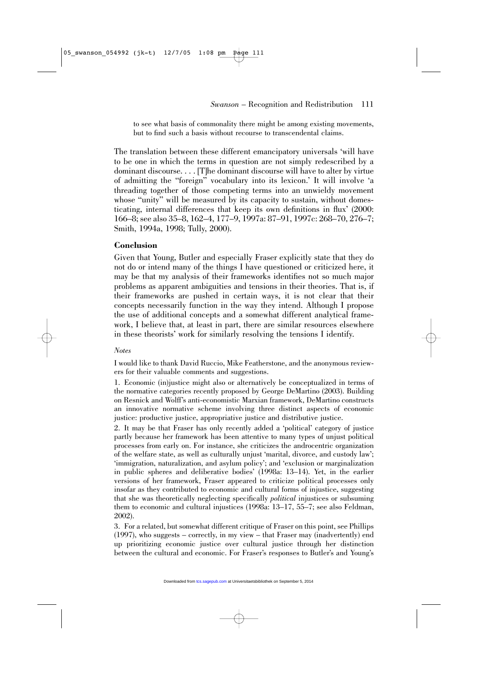to see what basis of commonality there might be among existing movements, but to find such a basis without recourse to transcendental claims.

The translation between these different emancipatory universals 'will have to be one in which the terms in question are not simply redescribed by a dominant discourse. . . . [T]he dominant discourse will have to alter by virtue of admitting the "foreign" vocabulary into its lexicon.' It will involve 'a threading together of those competing terms into an unwieldy movement whose "unity" will be measured by its capacity to sustain, without domesticating, internal differences that keep its own definitions in flux' (2000: 166–8; see also 35–8, 162–4, 177–9, 1997a: 87–91, 1997c: 268–70, 276–7; Smith, 1994a, 1998; Tully, 2000).

#### **Conclusion**

Given that Young, Butler and especially Fraser explicitly state that they do not do or intend many of the things I have questioned or criticized here, it may be that my analysis of their frameworks identifies not so much major problems as apparent ambiguities and tensions in their theories. That is, if their frameworks are pushed in certain ways, it is not clear that their concepts necessarily function in the way they intend. Although I propose the use of additional concepts and a somewhat different analytical framework, I believe that, at least in part, there are similar resources elsewhere in these theorists' work for similarly resolving the tensions I identify.

#### *Notes*

I would like to thank David Ruccio, Mike Featherstone, and the anonymous reviewers for their valuable comments and suggestions.

1. Economic (in)justice might also or alternatively be conceptualized in terms of the normative categories recently proposed by George DeMartino (2003). Building on Resnick and Wolff's anti-economistic Marxian framework, DeMartino constructs an innovative normative scheme involving three distinct aspects of economic justice: productive justice, appropriative justice and distributive justice.

2. It may be that Fraser has only recently added a 'political' category of justice partly because her framework has been attentive to many types of unjust political processes from early on. For instance, she criticizes the androcentric organization of the welfare state, as well as culturally unjust 'marital, divorce, and custody law'; 'immigration, naturalization, and asylum policy'; and 'exclusion or marginalization in public spheres and deliberative bodies' (1998a: 13–14). Yet, in the earlier versions of her framework, Fraser appeared to criticize political processes only insofar as they contributed to economic and cultural forms of injustice, suggesting that she was theoretically neglecting specifically *political* injustices or subsuming them to economic and cultural injustices (1998a: 13–17, 55–7; see also Feldman, 2002).

3. For a related, but somewhat different critique of Fraser on this point, see Phillips (1997), who suggests – correctly, in my view – that Fraser may (inadvertently) end up prioritizing economic justice over cultural justice through her distinction between the cultural and economic. For Fraser's responses to Butler's and Young's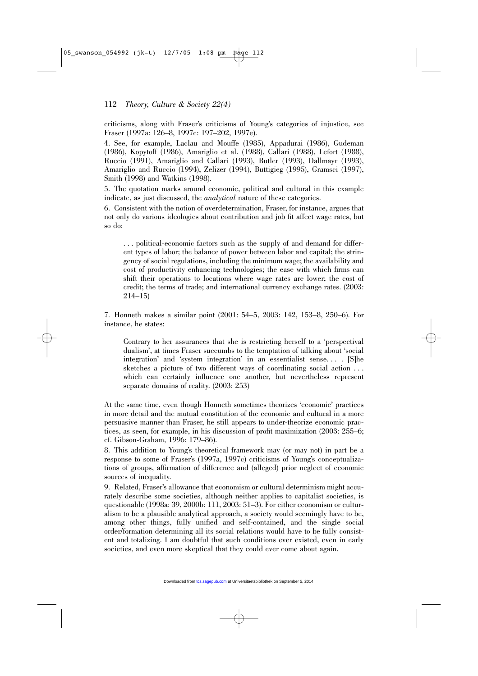criticisms, along with Fraser's criticisms of Young's categories of injustice, see Fraser (1997a: 126–8, 1997c: 197–202, 1997e).

4. See, for example, Laclau and Mouffe (1985), Appadurai (1986), Gudeman (1986), Kopytoff (1986), Amariglio et al. (1988), Callari (1988), Lefort (1988), Ruccio (1991), Amariglio and Callari (1993), Butler (1993), Dallmayr (1993), Amariglio and Ruccio (1994), Zelizer (1994), Buttigieg (1995), Gramsci (1997), Smith (1998) and Watkins (1998).

5. The quotation marks around economic, political and cultural in this example indicate, as just discussed, the *analytical* nature of these categories.

6. Consistent with the notion of overdetermination, Fraser, for instance, argues that not only do various ideologies about contribution and job fit affect wage rates, but so do:

. . . political-economic factors such as the supply of and demand for different types of labor; the balance of power between labor and capital; the stringency of social regulations, including the minimum wage; the availability and cost of productivity enhancing technologies; the ease with which firms can shift their operations to locations where wage rates are lower; the cost of credit; the terms of trade; and international currency exchange rates. (2003: 214–15)

7. Honneth makes a similar point (2001: 54–5, 2003: 142, 153–8, 250–6). For instance, he states:

Contrary to her assurances that she is restricting herself to a 'perspectival dualism', at times Fraser succumbs to the temptation of talking about 'social integration' and 'system integration' in an essentialist sense. . . . [S]he sketches a picture of two different ways of coordinating social action . . . which can certainly influence one another, but nevertheless represent separate domains of reality. (2003: 253)

At the same time, even though Honneth sometimes theorizes 'economic' practices in more detail and the mutual constitution of the economic and cultural in a more persuasive manner than Fraser, he still appears to under-theorize economic practices, as seen, for example, in his discussion of profit maximization (2003: 255–6; cf. Gibson-Graham, 1996: 179–86).

8. This addition to Young's theoretical framework may (or may not) in part be a response to some of Fraser's (1997a, 1997c) criticisms of Young's conceptualizations of groups, affirmation of difference and (alleged) prior neglect of economic sources of inequality.

9. Related, Fraser's allowance that economism or cultural determinism might accurately describe some societies, although neither applies to capitalist societies, is questionable (1998a:  $39, 2000b$ : 111,  $2003$ :  $51-3$ ). For either economism or culturalism to be a plausible analytical approach, a society would seemingly have to be, among other things, fully unified and self-contained, and the single social order/formation determining all its social relations would have to be fully consistent and totalizing. I am doubtful that such conditions ever existed, even in early societies, and even more skeptical that they could ever come about again.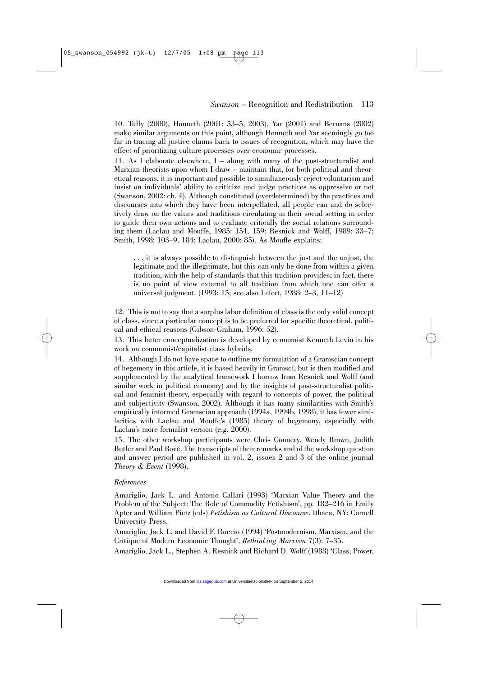10. Tully (2000), Honneth (2001: 53–5, 2003), Yar (2001) and Bernans (2002) make similar arguments on this point, although Honneth and Yar seemingly go too far in tracing all justice claims back to issues of recognition, which may have the effect of prioritizing culture processes over economic processes.

11. As I elaborate elsewhere, I – along with many of the post-structuralist and Marxian theorists upon whom I draw – maintain that, for both political and theoretical reasons, it is important and possible to simultaneously reject voluntarism and insist on individuals' ability to criticize and judge practices as oppressive or not (Swanson, 2002: ch. 4). Although constituted (overdetermined) by the practices and discourses into which they have been interpellated, all people can and do selectively draw on the values and traditions circulating in their social setting in order to guide their own actions and to evaluate critically the social relations surrounding them (Laclau and Mouffe, 1985: 154, 159; Resnick and Wolff, 1989: 33–7; Smith, 1998: 103–9, 184; Laclau, 2000: 85). As Mouffe explains:

. . . it is always possible to distinguish between the just and the unjust, the legitimate and the illegitimate, but this can only be done from within a given tradition, with the help of standards that this tradition provides; in fact, there is no point of view external to all tradition from which one can offer a universal judgment. (1993: 15; see also Lefort, 1988: 2–3, 11–12)

12. This is not to say that a surplus labor definition of class is the only valid concept of class, since a particular concept is to be preferred for specific theoretical, political and ethical reasons (Gibson-Graham, 1996: 52).

13. This latter conceptualization is developed by economist Kenneth Levin in his work on communist/capitalist class hybrids.

14. Although I do not have space to outline my formulation of a Gramscian concept of hegemony in this article, it is based heavily in Gramsci, but is then modified and supplemented by the analytical framework I borrow from Resnick and Wolff (and similar work in political economy) and by the insights of post-structuralist political and feminist theory, especially with regard to concepts of power, the political and subjectivity (Swanson, 2002). Although it has many similarities with Smith's empirically informed Gramscian approach (1994a, 1994b, 1998), it has fewer similarities with Laclau and Mouffe's (1985) theory of hegemony, especially with Laclau's more formalist version (e.g. 2000).

15. The other workshop participants were Chris Connery, Wendy Brown, Judith Butler and Paul Bové. The transcripts of their remarks and of the workshop question and answer period are published in vol. 2, issues 2 and 3 of the online journal *Theory & Event* (1998).

#### *References*

Amariglio, Jack L. and Antonio Callari (1993) 'Marxian Value Theory and the Problem of the Subject: The Role of Commodity Fetishism', pp. 182–216 in Emily Apter and William Pietz (eds) *Fetishism as Cultural Discourse*. Ithaca, NY: Cornell University Press.

Amariglio, Jack L. and David F. Ruccio (1994) 'Postmodernism, Marxism, and the Critique of Modern Economic Thought', *Rethinking Marxism* 7(3): 7–35.

Amariglio, Jack L., Stephen A. Resnick and Richard D. Wolff (1988) 'Class, Power,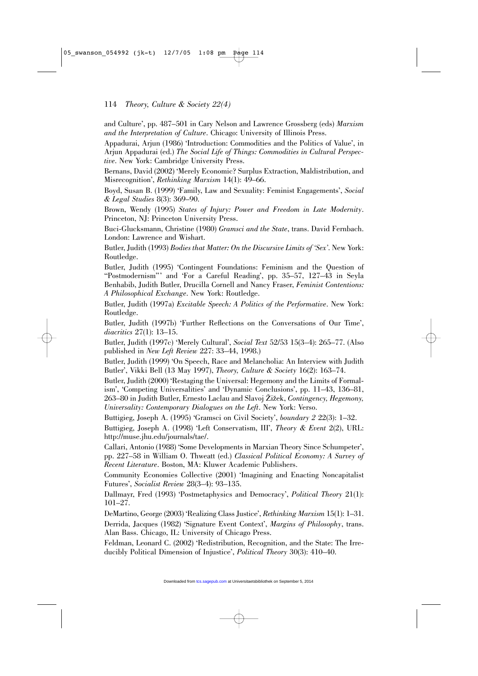and Culture', pp. 487–501 in Cary Nelson and Lawrence Grossberg (eds) *Marxism and the Interpretation of Culture*. Chicago: University of Illinois Press.

Appadurai, Arjun (1986) 'Introduction: Commodities and the Politics of Value', in Arjun Appadurai (ed.) *The Social Life of Things: Commodities in Cultural Perspective*. New York: Cambridge University Press.

Bernans, David (2002) 'Merely Economic? Surplus Extraction, Maldistribution, and Misrecognition', *Rethinking Marxism* 14(1): 49–66.

Boyd, Susan B. (1999) 'Family, Law and Sexuality: Feminist Engagements', *Social & Legal Studies* 8(3): 369–90.

Brown, Wendy (1995) *States of Injury: Power and Freedom in Late Modernity*. Princeton, NJ: Princeton University Press.

Buci-Glucksmann, Christine (1980) *Gramsci and the State*, trans. David Fernbach. London: Lawrence and Wishart.

Butler, Judith (1993) *Bodies that Matter: On the Discursive Limits of 'Sex'*. New York: Routledge.

Butler, Judith (1995) 'Contingent Foundations: Feminism and the Question of "Postmodernism"' and 'For a Careful Reading', pp. 35–57, 127–43 in Seyla Benhabib, Judith Butler, Drucilla Cornell and Nancy Fraser, *Feminist Contentions: A Philosophical Exchange*. New York: Routledge.

Butler, Judith (1997a) *Excitable Speech: A Politics of the Performative*. New York: Routledge.

Butler, Judith (1997b) 'Further Reflections on the Conversations of Our Time', *diacritics* 27(1): 13–15.

Butler, Judith (1997c) 'Merely Cultural', *Social Text* 52/53 15(3–4): 265–77. (Also published in *New Left Review* 227: 33–44, 1998.)

Butler, Judith (1999) 'On Speech, Race and Melancholia: An Interview with Judith Butler', Vikki Bell (13 May 1997), *Theory, Culture & Society* 16(2): 163–74.

Butler, Judith (2000) 'Restaging the Universal: Hegemony and the Limits of Formalism', 'Competing Universalities' and 'Dynamic Conclusions', pp. 11–43, 136–81, 263–80 in Judith Butler, Ernesto Laclau and Slavoj Žižek, *Contingency, Hegemony, Universality: Contemporary Dialogues on the Left*. New York: Verso.

Buttigieg, Joseph A. (1995) 'Gramsci on Civil Society', *boundary 2* 22(3): 1–32.

Buttigieg, Joseph A. (1998) 'Left Conservatism, III', *Theory & Event* 2(2), URL: http://muse.jhu.edu/journals/tae/.

Callari, Antonio (1988) 'Some Developments in Marxian Theory Since Schumpeter', pp. 227–58 in William O. Thweatt (ed.) *Classical Political Economy: A Survey of Recent Literature*. Boston, MA: Kluwer Academic Publishers.

Community Economies Collective (2001) 'Imagining and Enacting Noncapitalist Futures', *Socialist Review* 28(3–4): 93–135.

Dallmayr, Fred (1993) 'Postmetaphysics and Democracy', *Political Theory* 21(1): 101–27.

DeMartino, George (2003) 'Realizing Class Justice', *Rethinking Marxism* 15(1): 1–31.

Derrida, Jacques (1982) 'Signature Event Context', *Margins of Philosophy*, trans. Alan Bass. Chicago, IL: University of Chicago Press.

Feldman, Leonard C. (2002) 'Redistribution, Recognition, and the State: The Irreducibly Political Dimension of Injustice', *Political Theory* 30(3): 410–40.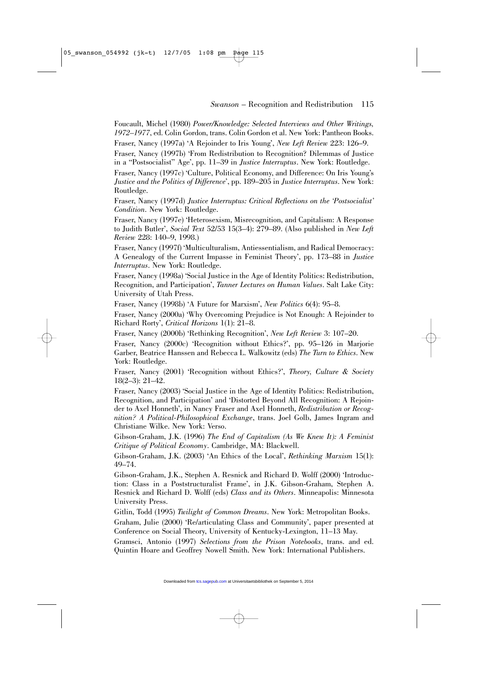Foucault, Michel (1980) *Power/Knowledge: Selected Interviews and Other Writings, 1972–1977*, ed. Colin Gordon, trans. Colin Gordon et al. New York: Pantheon Books. Fraser, Nancy (1997a) 'A Rejoinder to Iris Young', *New Left Review* 223: 126–9.

Fraser, Nancy (1997b) 'From Redistribution to Recognition? Dilemmas of Justice

in a "Postsocialist" Age', pp. 11–39 in *Justice Interruptus*. New York: Routledge.

Fraser, Nancy (1997c) 'Culture, Political Economy, and Difference: On Iris Young's *Justice and the Politics of Difference*', pp. 189–205 in *Justice Interruptus*. New York: Routledge.

Fraser, Nancy (1997d) *Justice Interruptus: Critical Reflections on the 'Postsocialist' Condition*. New York: Routledge.

Fraser, Nancy (1997e) 'Heterosexism, Misrecognition, and Capitalism: A Response to Judith Butler', *Social Text* 52/53 15(3–4): 279–89. (Also published in *New Left Review* 228: 140–9, 1998.)

Fraser, Nancy (1997f) 'Multiculturalism, Antiessentialism, and Radical Democracy: A Genealogy of the Current Impasse in Feminist Theory', pp. 173–88 in *Justice Interruptus*. New York: Routledge.

Fraser, Nancy (1998a) 'Social Justice in the Age of Identity Politics: Redistribution, Recognition, and Participation', *Tanner Lectures on Human Values*. Salt Lake City: University of Utah Press.

Fraser, Nancy (1998b) 'A Future for Marxism', *New Politics* 6(4): 95–8.

Fraser, Nancy (2000a) 'Why Overcoming Prejudice is Not Enough: A Rejoinder to Richard Rorty', *Critical Horizons* 1(1): 21–8.

Fraser, Nancy (2000b) 'Rethinking Recognition', *New Left Review* 3: 107–20.

Fraser, Nancy (2000c) 'Recognition without Ethics?', pp. 95–126 in Marjorie Garber, Beatrice Hanssen and Rebecca L. Walkowitz (eds) *The Turn to Ethics*. New York: Routledge.

Fraser, Nancy (2001) 'Recognition without Ethics?', *Theory, Culture & Society* 18(2–3): 21–42.

Fraser, Nancy (2003) 'Social Justice in the Age of Identity Politics: Redistribution, Recognition, and Participation' and 'Distorted Beyond All Recognition: A Rejoinder to Axel Honneth', in Nancy Fraser and Axel Honneth, *Redistribution or Recognition? A Political-Philosophical Exchange*, trans. Joel Golb, James Ingram and Christiane Wilke. New York: Verso.

Gibson-Graham, J.K. (1996) *The End of Capitalism (As We Knew It): A Feminist Critique of Political Economy*. Cambridge, MA: Blackwell.

Gibson-Graham, J.K. (2003) 'An Ethics of the Local', *Rethinking Marxism* 15(1): 49–74.

Gibson-Graham, J.K., Stephen A. Resnick and Richard D. Wolff (2000) 'Introduction: Class in a Poststructuralist Frame', in J.K. Gibson-Graham, Stephen A. Resnick and Richard D. Wolff (eds) *Class and its Others*. Minneapolis: Minnesota University Press.

Gitlin, Todd (1995) *Twilight of Common Dreams*. New York: Metropolitan Books.

Graham, Julie (2000) 'Re/articulating Class and Community', paper presented at Conference on Social Theory, University of Kentucky-Lexington, 11–13 May.

Gramsci, Antonio (1997) *Selections from the Prison Notebooks*, trans. and ed. Quintin Hoare and Geoffrey Nowell Smith. New York: International Publishers.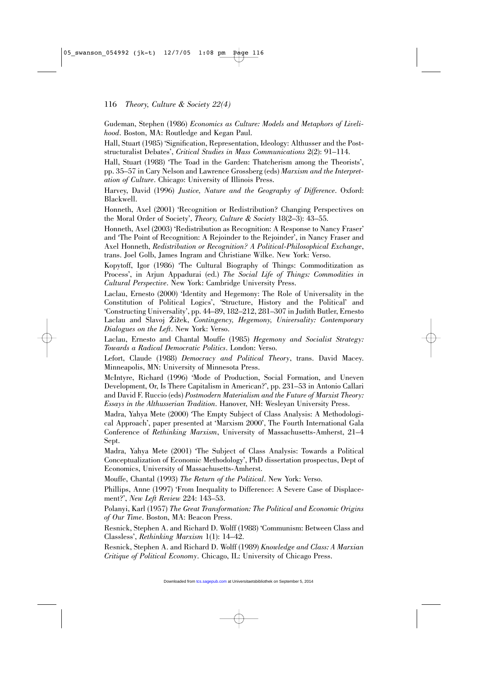Gudeman, Stephen (1986) *Economics as Culture: Models and Metaphors of Livelihood*. Boston, MA: Routledge and Kegan Paul.

Hall, Stuart (1985) 'Signification, Representation, Ideology: Althusser and the Poststructuralist Debates', *Critical Studies in Mass Communications* 2(2): 91–114.

Hall, Stuart (1988) 'The Toad in the Garden: Thatcherism among the Theorists', pp. 35–57 in Cary Nelson and Lawrence Grossberg (eds) *Marxism and the Interpretation of Culture*. Chicago: University of Illinois Press.

Harvey, David (1996) *Justice, Nature and the Geography of Difference*. Oxford: Blackwell.

Honneth, Axel (2001) 'Recognition or Redistribution? Changing Perspectives on the Moral Order of Society', *Theory, Culture & Society* 18(2–3): 43–55.

Honneth, Axel (2003) 'Redistribution as Recognition: A Response to Nancy Fraser' and 'The Point of Recognition: A Rejoinder to the Rejoinder', in Nancy Fraser and Axel Honneth, *Redistribution or Recognition? A Political-Philosophical Exchange*, trans. Joel Golb, James Ingram and Christiane Wilke. New York: Verso.

Kopytoff, Igor (1986) 'The Cultural Biography of Things: Commoditization as Process', in Arjun Appadurai (ed.) *The Social Life of Things: Commodities in Cultural Perspective*. New York: Cambridge University Press.

Laclau, Ernesto (2000) 'Identity and Hegemony: The Role of Universality in the Constitution of Political Logics', 'Structure, History and the Political' and 'Constructing Universality', pp. 44–89, 182–212, 281–307 in Judith Butler, Ernesto Laclau and Slavoj Žižek, *Contingency, Hegemony, Universality: Contemporary Dialogues on the Left*. New York: Verso.

Laclau, Ernesto and Chantal Mouffe (1985) *Hegemony and Socialist Strategy: Towards a Radical Democratic Politics*. London: Verso.

Lefort, Claude (1988) *Democracy and Political Theory*, trans. David Macey. Minneapolis, MN: University of Minnesota Press.

McIntyre, Richard (1996) 'Mode of Production, Social Formation, and Uneven Development, Or, Is There Capitalism in American?', pp. 231–53 in Antonio Callari and David F. Ruccio (eds) *Postmodern Materialism and the Future of Marxist Theory: Essays in the Althusserian Tradition*. Hanover, NH: Wesleyan University Press.

Madra, Yahya Mete (2000) 'The Empty Subject of Class Analysis: A Methodological Approach', paper presented at 'Marxism 2000', The Fourth International Gala Conference of *Rethinking Marxism*, University of Massachusetts-Amherst, 21–4 Sept.

Madra, Yahya Mete (2001) 'The Subject of Class Analysis: Towards a Political Conceptualization of Economic Methodology', PhD dissertation prospectus, Dept of Economics, University of Massachusetts-Amherst.

Mouffe, Chantal (1993) *The Return of the Political*. New York: Verso.

Phillips, Anne (1997) 'From Inequality to Difference: A Severe Case of Displacement?', *New Left Review* 224: 143–53.

Polanyi, Karl (1957) *The Great Transformation: The Political and Economic Origins of Our Time*. Boston, MA: Beacon Press.

Resnick, Stephen A. and Richard D. Wolff (1988) 'Communism: Between Class and Classless', *Rethinking Marxism* 1(1): 14–42.

Resnick, Stephen A. and Richard D. Wolff (1989) *Knowledge and Class: A Marxian Critique of Political Economy*. Chicago, IL: University of Chicago Press.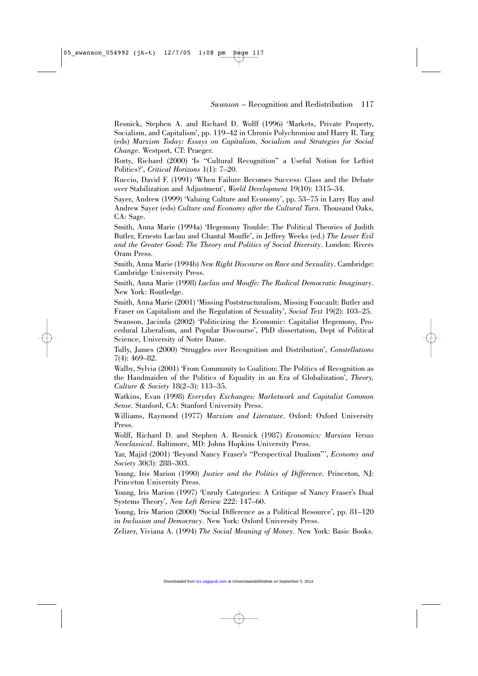Resnick, Stephen A. and Richard D. Wolff (1996) 'Markets, Private Property, Socialism, and Capitalism', pp. 119–42 in Chronis Polychroniou and Harry R. Targ (eds) *Marxism Today: Essays on Capitalism, Socialism and Strategies for Social Change*. Westport, CT: Praeger.

Rorty, Richard (2000) 'Is "Cultural Recognition" a Useful Notion for Leftist Politics?', *Critical Horizons* 1(1): 7–20.

Ruccio, David F. (1991) 'When Failure Becomes Success: Class and the Debate over Stabilization and Adjustment', *World Development* 19(10): 1315–34.

Sayer, Andrew (1999) 'Valuing Culture and Economy', pp. 53–75 in Larry Ray and Andrew Sayer (eds) *Culture and Economy after the Cultural Turn*. Thousand Oaks, CA: Sage.

Smith, Anna Marie (1994a) 'Hegemony Trouble: The Political Theories of Judith Butler, Ernesto Laclau and Chantal Mouffe', in Jeffrey Weeks (ed.) *The Lesser Evil and the Greater Good: The Theory and Politics of Social Diversity*. London: Rivers Oram Press.

Smith, Anna Marie (1994b) *New Right Discourse on Race and Sexuality*. Cambridge: Cambridge University Press.

Smith, Anna Marie (1998) *Laclau and Mouffe: The Radical Democratic Imaginary*. New York: Routledge.

Smith, Anna Marie (2001) 'Missing Poststructuralism, Missing Foucault: Butler and Fraser on Capitalism and the Regulation of Sexuality', *Social Text* 19(2): 103–25.

Swanson, Jacinda (2002) 'Politicizing the Economic: Capitalist Hegemony, Procedural Liberalism, and Popular Discourse', PhD dissertation, Dept of Political Science, University of Notre Dame.

Tully, James (2000) 'Struggles over Recognition and Distribution', *Constellations* 7(4): 469–82.

Walby, Sylvia (2001) 'From Community to Coalition: The Politics of Recognition as the Handmaiden of the Politics of Equality in an Era of Globalization', *Theory, Culture & Society* 18(2–3): 113–35.

Watkins, Evan (1998) *Everyday Exchanges: Marketwork and Capitalist Common Sense*. Stanford, CA: Stanford University Press.

Williams, Raymond (1977) *Marxism and Literature*. Oxford: Oxford University Press.

Wolff, Richard D. and Stephen A. Resnick (1987) *Economics: Marxian Versus Neoclassical*. Baltimore, MD: Johns Hopkins University Press.

Yar, Majid (2001) 'Beyond Nancy Fraser's "Perspectival Dualism"', *Economy and Society* 30(3): 288–303.

Young, Iris Marion (1990) *Justice and the Politics of Difference*. Princeton, NJ: Princeton University Press.

Young, Iris Marion (1997) 'Unruly Categories: A Critique of Nancy Fraser's Dual Systems Theory', *New Left Review* 222: 147–60.

Young, Iris Marion (2000) 'Social Difference as a Political Resource', pp. 81–120 in *Inclusion and Democracy*. New York: Oxford University Press.

Zelizer, Viviana A. (1994) *The Social Meaning of Money*. New York: Basic Books.